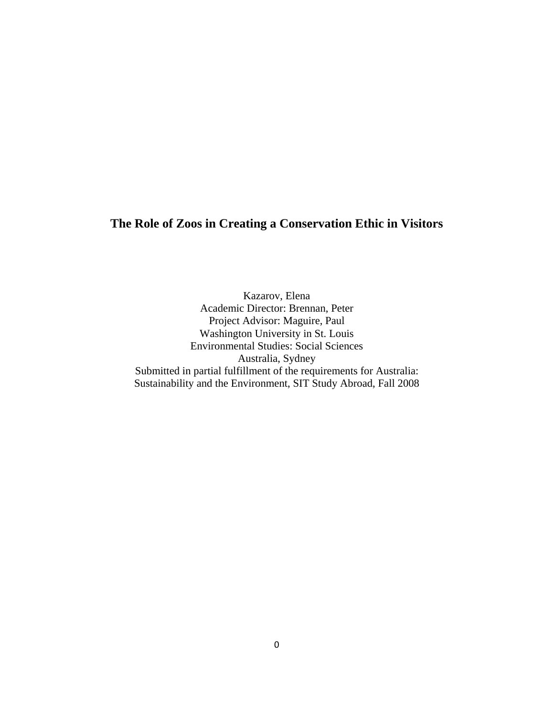# **The Role of Zoos in Creating a Conservation Ethic in Visitors**

Kazarov, Elena Academic Director: Brennan, Peter Project Advisor: Maguire, Paul Washington University in St. Louis Environmental Studies: Social Sciences Australia, Sydney Submitted in partial fulfillment of the requirements for Australia: Sustainability and the Environment, SIT Study Abroad, Fall 2008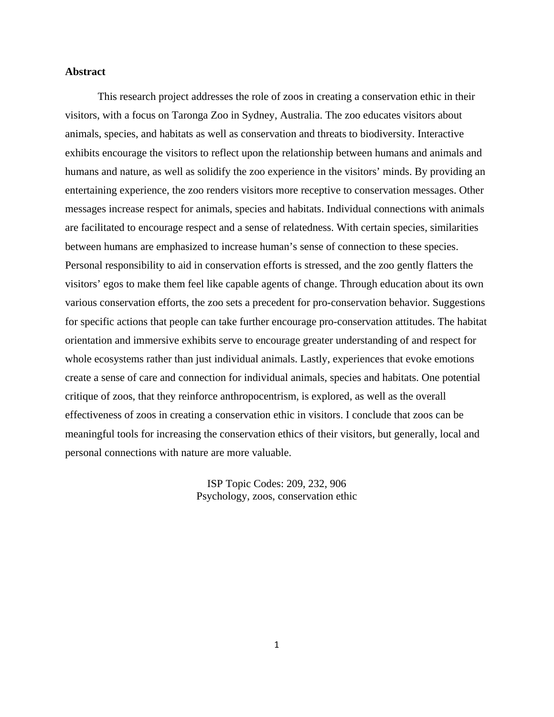## **Abstract**

 This research project addresses the role of zoos in creating a conservation ethic in their visitors, with a focus on Taronga Zoo in Sydney, Australia. The zoo educates visitors about animals, species, and habitats as well as conservation and threats to biodiversity. Interactive exhibits encourage the visitors to reflect upon the relationship between humans and animals and humans and nature, as well as solidify the zoo experience in the visitors' minds. By providing an entertaining experience, the zoo renders visitors more receptive to conservation messages. Other messages increase respect for animals, species and habitats. Individual connections with animals are facilitated to encourage respect and a sense of relatedness. With certain species, similarities between humans are emphasized to increase human's sense of connection to these species. Personal responsibility to aid in conservation efforts is stressed, and the zoo gently flatters the visitors' egos to make them feel like capable agents of change. Through education about its own various conservation efforts, the zoo sets a precedent for pro-conservation behavior. Suggestions for specific actions that people can take further encourage pro-conservation attitudes. The habitat orientation and immersive exhibits serve to encourage greater understanding of and respect for whole ecosystems rather than just individual animals. Lastly, experiences that evoke emotions create a sense of care and connection for individual animals, species and habitats. One potential critique of zoos, that they reinforce anthropocentrism, is explored, as well as the overall effectiveness of zoos in creating a conservation ethic in visitors. I conclude that zoos can be meaningful tools for increasing the conservation ethics of their visitors, but generally, local and personal connections with nature are more valuable.

> ISP Topic Codes: 209, 232, 906 Psychology, zoos, conservation ethic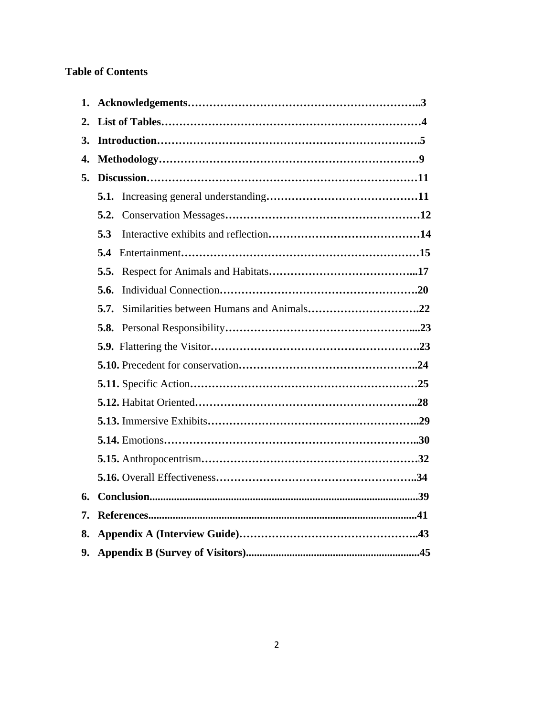## **Table of Contents**

| 1. |                                                   |
|----|---------------------------------------------------|
| 2. |                                                   |
| 3. |                                                   |
| 4. |                                                   |
| 5. |                                                   |
|    |                                                   |
|    |                                                   |
|    | 5.3                                               |
|    | 5.4                                               |
|    |                                                   |
|    | 5.6.                                              |
|    | Similarities between Humans and Animals22<br>5.7. |
|    |                                                   |
|    |                                                   |
|    |                                                   |
|    |                                                   |
|    |                                                   |
|    |                                                   |
|    |                                                   |
|    |                                                   |
|    |                                                   |
| 6. |                                                   |
| 7. |                                                   |
| 8. |                                                   |
| 9. |                                                   |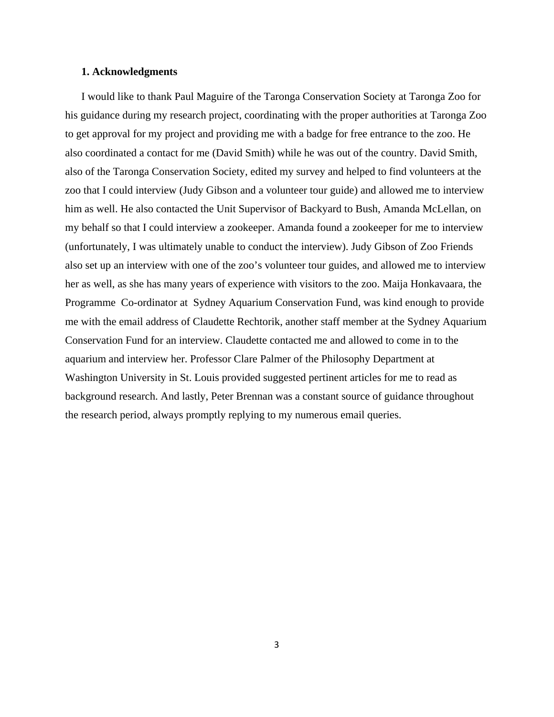#### **1. Acknowledgments**

I would like to thank Paul Maguire of the Taronga Conservation Society at Taronga Zoo for his guidance during my research project, coordinating with the proper authorities at Taronga Zoo to get approval for my project and providing me with a badge for free entrance to the zoo. He also coordinated a contact for me (David Smith) while he was out of the country. David Smith, also of the Taronga Conservation Society, edited my survey and helped to find volunteers at the zoo that I could interview (Judy Gibson and a volunteer tour guide) and allowed me to interview him as well. He also contacted the Unit Supervisor of Backyard to Bush, Amanda McLellan, on my behalf so that I could interview a zookeeper. Amanda found a zookeeper for me to interview (unfortunately, I was ultimately unable to conduct the interview). Judy Gibson of Zoo Friends also set up an interview with one of the zoo's volunteer tour guides, and allowed me to interview her as well, as she has many years of experience with visitors to the zoo. Maija Honkavaara, the Programme Co-ordinator at Sydney Aquarium Conservation Fund, was kind enough to provide me with the email address of Claudette Rechtorik, another staff member at the Sydney Aquarium Conservation Fund for an interview. Claudette contacted me and allowed to come in to the aquarium and interview her. Professor Clare Palmer of the Philosophy Department at Washington University in St. Louis provided suggested pertinent articles for me to read as background research. And lastly, Peter Brennan was a constant source of guidance throughout the research period, always promptly replying to my numerous email queries.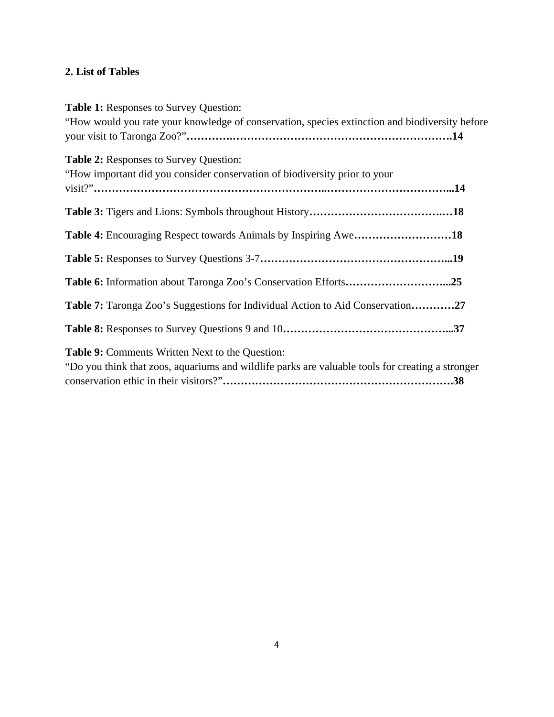# **2. List of Tables**

| <b>Table 1:</b> Responses to Survey Question:                                                    |
|--------------------------------------------------------------------------------------------------|
| "How would you rate your knowledge of conservation, species extinction and biodiversity before   |
|                                                                                                  |
|                                                                                                  |
| <b>Table 2: Responses to Survey Question:</b>                                                    |
| "How important did you consider conservation of biodiversity prior to your                       |
|                                                                                                  |
|                                                                                                  |
| Table 4: Encouraging Respect towards Animals by Inspiring Awe18                                  |
|                                                                                                  |
| Table 6: Information about Taronga Zoo's Conservation Efforts25                                  |
| <b>Table 7:</b> Taronga Zoo's Suggestions for Individual Action to Aid Conservation27            |
|                                                                                                  |
| <b>Table 9:</b> Comments Written Next to the Question:                                           |
| "Do you think that zoos, aquariums and wildlife parks are valuable tools for creating a stronger |
|                                                                                                  |
|                                                                                                  |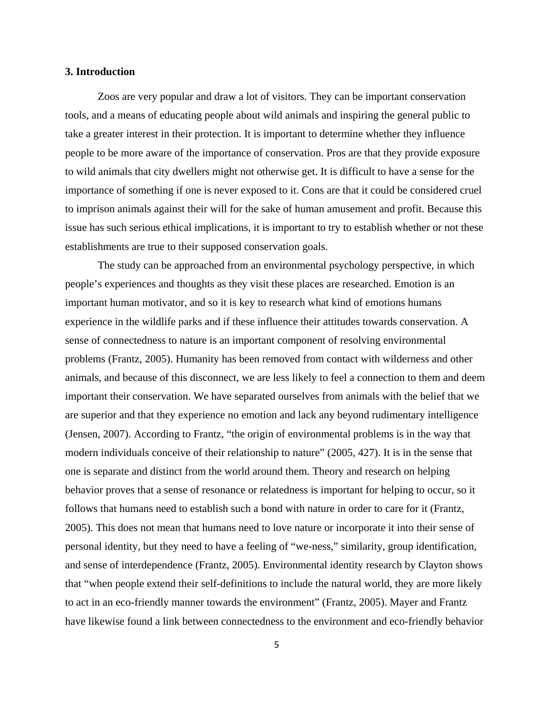## **3. Introduction**

Zoos are very popular and draw a lot of visitors. They can be important conservation tools, and a means of educating people about wild animals and inspiring the general public to take a greater interest in their protection. It is important to determine whether they influence people to be more aware of the importance of conservation. Pros are that they provide exposure to wild animals that city dwellers might not otherwise get. It is difficult to have a sense for the importance of something if one is never exposed to it. Cons are that it could be considered cruel to imprison animals against their will for the sake of human amusement and profit. Because this issue has such serious ethical implications, it is important to try to establish whether or not these establishments are true to their supposed conservation goals.

The study can be approached from an environmental psychology perspective, in which people's experiences and thoughts as they visit these places are researched. Emotion is an important human motivator, and so it is key to research what kind of emotions humans experience in the wildlife parks and if these influence their attitudes towards conservation. A sense of connectedness to nature is an important component of resolving environmental problems (Frantz, 2005). Humanity has been removed from contact with wilderness and other animals, and because of this disconnect, we are less likely to feel a connection to them and deem important their conservation. We have separated ourselves from animals with the belief that we are superior and that they experience no emotion and lack any beyond rudimentary intelligence (Jensen, 2007). According to Frantz, "the origin of environmental problems is in the way that modern individuals conceive of their relationship to nature" (2005, 427). It is in the sense that one is separate and distinct from the world around them. Theory and research on helping behavior proves that a sense of resonance or relatedness is important for helping to occur, so it follows that humans need to establish such a bond with nature in order to care for it (Frantz, 2005). This does not mean that humans need to love nature or incorporate it into their sense of personal identity, but they need to have a feeling of "we-ness," similarity, group identification, and sense of interdependence (Frantz, 2005). Environmental identity research by Clayton shows that "when people extend their self-definitions to include the natural world, they are more likely to act in an eco-friendly manner towards the environment" (Frantz, 2005). Mayer and Frantz have likewise found a link between connectedness to the environment and eco-friendly behavior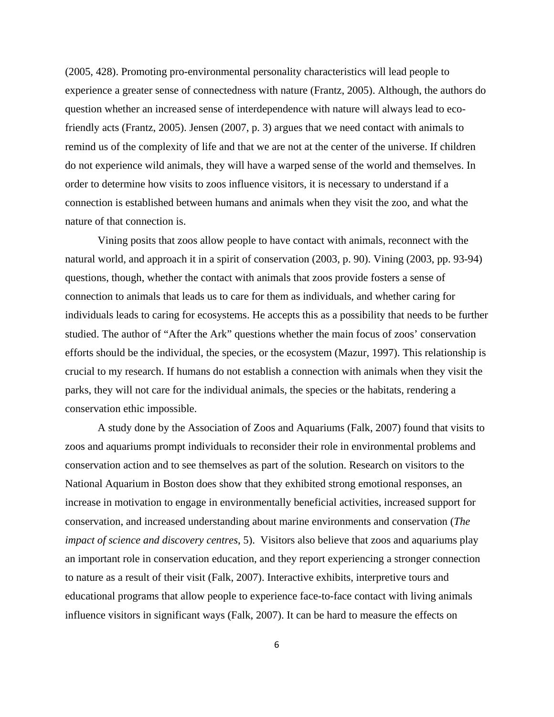(2005, 428). Promoting pro-environmental personality characteristics will lead people to experience a greater sense of connectedness with nature (Frantz, 2005). Although, the authors do question whether an increased sense of interdependence with nature will always lead to ecofriendly acts (Frantz, 2005). Jensen (2007, p. 3) argues that we need contact with animals to remind us of the complexity of life and that we are not at the center of the universe. If children do not experience wild animals, they will have a warped sense of the world and themselves. In order to determine how visits to zoos influence visitors, it is necessary to understand if a connection is established between humans and animals when they visit the zoo, and what the nature of that connection is.

Vining posits that zoos allow people to have contact with animals, reconnect with the natural world, and approach it in a spirit of conservation (2003, p. 90). Vining (2003, pp. 93-94) questions, though, whether the contact with animals that zoos provide fosters a sense of connection to animals that leads us to care for them as individuals, and whether caring for individuals leads to caring for ecosystems. He accepts this as a possibility that needs to be further studied. The author of "After the Ark" questions whether the main focus of zoos' conservation efforts should be the individual, the species, or the ecosystem (Mazur, 1997). This relationship is crucial to my research. If humans do not establish a connection with animals when they visit the parks, they will not care for the individual animals, the species or the habitats, rendering a conservation ethic impossible.

A study done by the Association of Zoos and Aquariums (Falk, 2007) found that visits to zoos and aquariums prompt individuals to reconsider their role in environmental problems and conservation action and to see themselves as part of the solution. Research on visitors to the National Aquarium in Boston does show that they exhibited strong emotional responses, an increase in motivation to engage in environmentally beneficial activities, increased support for conservation, and increased understanding about marine environments and conservation (*The impact of science and discovery centres*, 5). Visitors also believe that zoos and aquariums play an important role in conservation education, and they report experiencing a stronger connection to nature as a result of their visit (Falk, 2007). Interactive exhibits, interpretive tours and educational programs that allow people to experience face-to-face contact with living animals influence visitors in significant ways (Falk, 2007). It can be hard to measure the effects on

6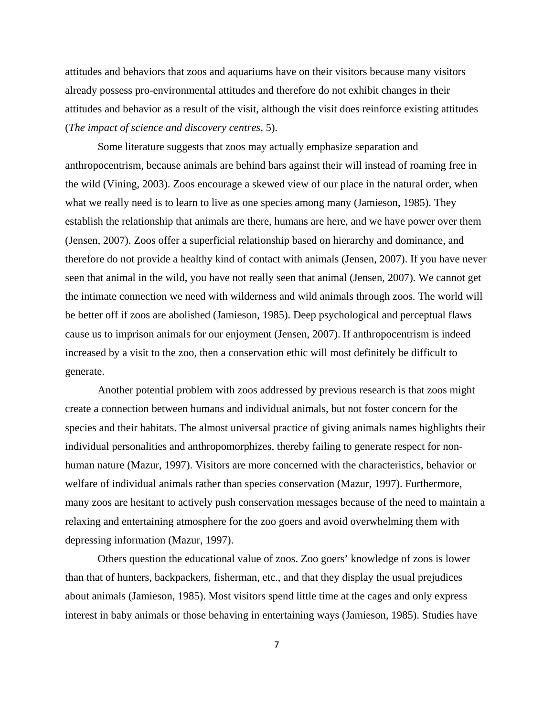attitudes and behaviors that zoos and aquariums have on their visitors because many visitors already possess pro-environmental attitudes and therefore do not exhibit changes in their attitudes and behavior as a result of the visit, although the visit does reinforce existing attitudes (*The impact of science and discovery centres*, 5).

Some literature suggests that zoos may actually emphasize separation and anthropocentrism, because animals are behind bars against their will instead of roaming free in the wild (Vining, 2003). Zoos encourage a skewed view of our place in the natural order, when what we really need is to learn to live as one species among many (Jamieson, 1985). They establish the relationship that animals are there, humans are here, and we have power over them (Jensen, 2007). Zoos offer a superficial relationship based on hierarchy and dominance, and therefore do not provide a healthy kind of contact with animals (Jensen, 2007). If you have never seen that animal in the wild, you have not really seen that animal (Jensen, 2007). We cannot get the intimate connection we need with wilderness and wild animals through zoos. The world will be better off if zoos are abolished (Jamieson, 1985). Deep psychological and perceptual flaws cause us to imprison animals for our enjoyment (Jensen, 2007). If anthropocentrism is indeed increased by a visit to the zoo, then a conservation ethic will most definitely be difficult to generate.

Another potential problem with zoos addressed by previous research is that zoos might create a connection between humans and individual animals, but not foster concern for the species and their habitats. The almost universal practice of giving animals names highlights their individual personalities and anthropomorphizes, thereby failing to generate respect for nonhuman nature (Mazur, 1997). Visitors are more concerned with the characteristics, behavior or welfare of individual animals rather than species conservation (Mazur, 1997). Furthermore, many zoos are hesitant to actively push conservation messages because of the need to maintain a relaxing and entertaining atmosphere for the zoo goers and avoid overwhelming them with depressing information (Mazur, 1997).

Others question the educational value of zoos. Zoo goers' knowledge of zoos is lower than that of hunters, backpackers, fisherman, etc., and that they display the usual prejudices about animals (Jamieson, 1985). Most visitors spend little time at the cages and only express interest in baby animals or those behaving in entertaining ways (Jamieson, 1985). Studies have

7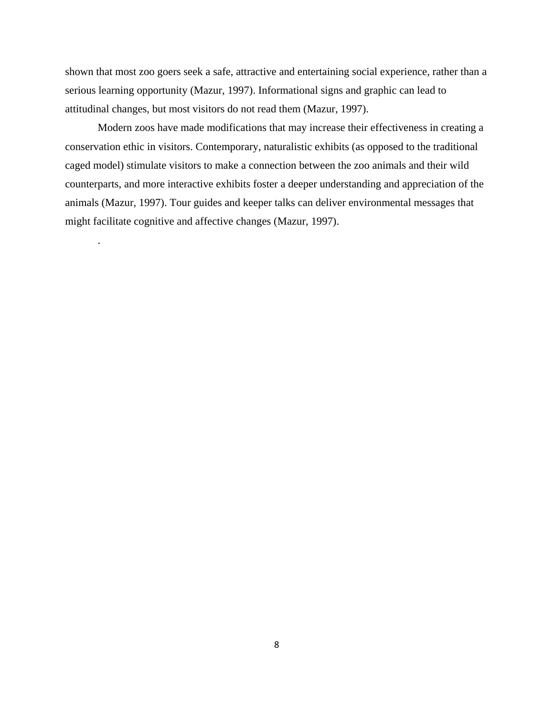shown that most zoo goers seek a safe, attractive and entertaining social experience, rather than a serious learning opportunity (Mazur, 1997). Informational signs and graphic can lead to attitudinal changes, but most visitors do not read them (Mazur, 1997).

Modern zoos have made modifications that may increase their effectiveness in creating a conservation ethic in visitors. Contemporary, naturalistic exhibits (as opposed to the traditional caged model) stimulate visitors to make a connection between the zoo animals and their wild counterparts, and more interactive exhibits foster a deeper understanding and appreciation of the animals (Mazur, 1997). Tour guides and keeper talks can deliver environmental messages that might facilitate cognitive and affective changes (Mazur, 1997).

.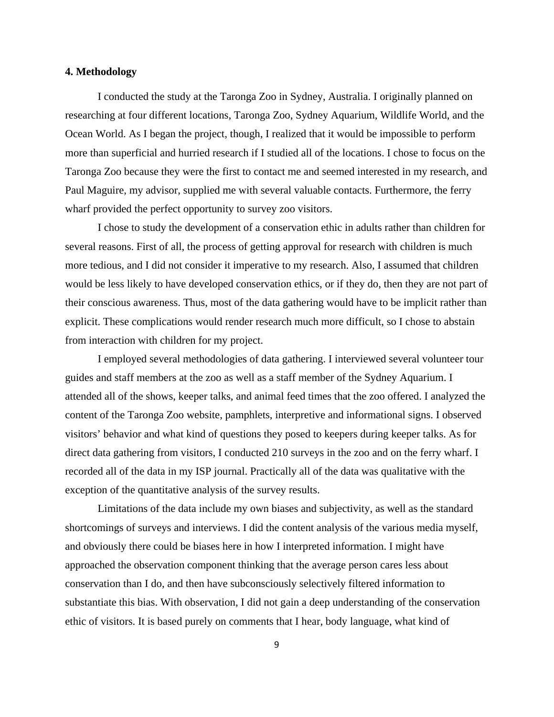## **4. Methodology**

I conducted the study at the Taronga Zoo in Sydney, Australia. I originally planned on researching at four different locations, Taronga Zoo, Sydney Aquarium, Wildlife World, and the Ocean World. As I began the project, though, I realized that it would be impossible to perform more than superficial and hurried research if I studied all of the locations. I chose to focus on the Taronga Zoo because they were the first to contact me and seemed interested in my research, and Paul Maguire, my advisor, supplied me with several valuable contacts. Furthermore, the ferry wharf provided the perfect opportunity to survey zoo visitors.

I chose to study the development of a conservation ethic in adults rather than children for several reasons. First of all, the process of getting approval for research with children is much more tedious, and I did not consider it imperative to my research. Also, I assumed that children would be less likely to have developed conservation ethics, or if they do, then they are not part of their conscious awareness. Thus, most of the data gathering would have to be implicit rather than explicit. These complications would render research much more difficult, so I chose to abstain from interaction with children for my project.

I employed several methodologies of data gathering. I interviewed several volunteer tour guides and staff members at the zoo as well as a staff member of the Sydney Aquarium. I attended all of the shows, keeper talks, and animal feed times that the zoo offered. I analyzed the content of the Taronga Zoo website, pamphlets, interpretive and informational signs. I observed visitors' behavior and what kind of questions they posed to keepers during keeper talks. As for direct data gathering from visitors, I conducted 210 surveys in the zoo and on the ferry wharf. I recorded all of the data in my ISP journal. Practically all of the data was qualitative with the exception of the quantitative analysis of the survey results.

Limitations of the data include my own biases and subjectivity, as well as the standard shortcomings of surveys and interviews. I did the content analysis of the various media myself, and obviously there could be biases here in how I interpreted information. I might have approached the observation component thinking that the average person cares less about conservation than I do, and then have subconsciously selectively filtered information to substantiate this bias. With observation, I did not gain a deep understanding of the conservation ethic of visitors. It is based purely on comments that I hear, body language, what kind of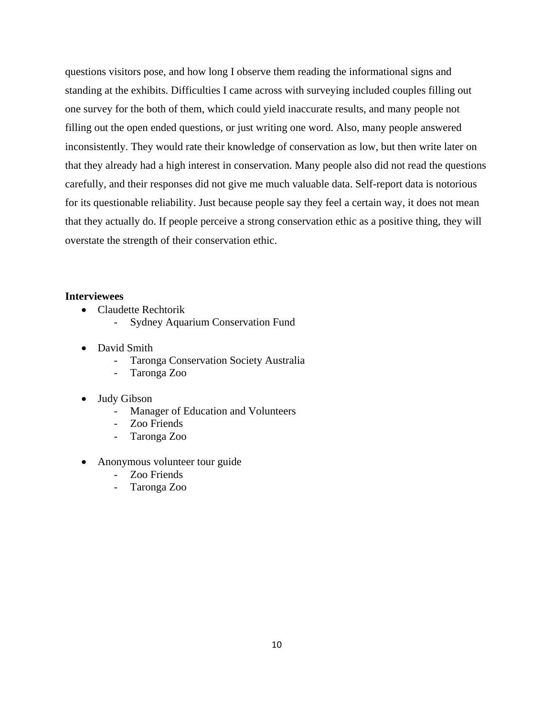questions visitors pose, and how long I observe them reading the informational signs and standing at the exhibits. Difficulties I came across with surveying included couples filling out one survey for the both of them, which could yield inaccurate results, and many people not filling out the open ended questions, or just writing one word. Also, many people answered inconsistently. They would rate their knowledge of conservation as low, but then write later on that they already had a high interest in conservation. Many people also did not read the questions carefully, and their responses did not give me much valuable data. Self-report data is notorious for its questionable reliability. Just because people say they feel a certain way, it does not mean that they actually do. If people perceive a strong conservation ethic as a positive thing, they will overstate the strength of their conservation ethic.

## **Interviewees**

- Claudette Rechtorik
	- Sydney Aquarium Conservation Fund
- David Smith
	- Taronga Conservation Society Australia
	- Taronga Zoo
- Judy Gibson
	- Manager of Education and Volunteers
	- Zoo Friends
	- Taronga Zoo
- Anonymous volunteer tour guide
	- Zoo Friends
	- Taronga Zoo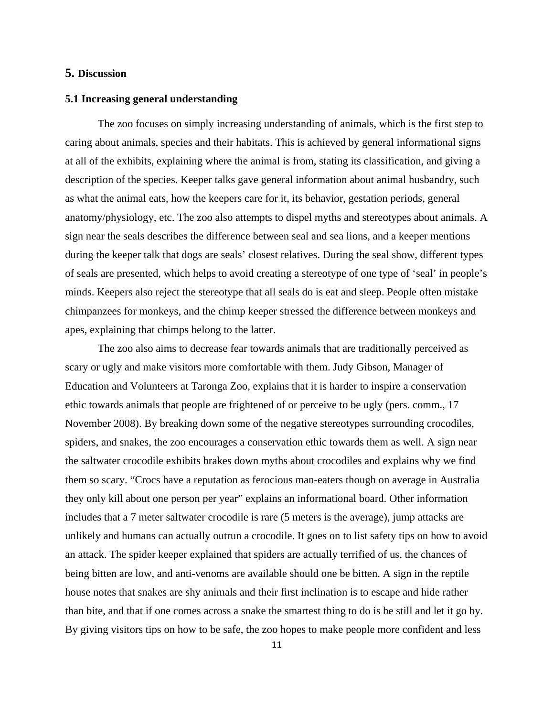## **5. Discussion**

## **5.1 Increasing general understanding**

The zoo focuses on simply increasing understanding of animals, which is the first step to caring about animals, species and their habitats. This is achieved by general informational signs at all of the exhibits, explaining where the animal is from, stating its classification, and giving a description of the species. Keeper talks gave general information about animal husbandry, such as what the animal eats, how the keepers care for it, its behavior, gestation periods, general anatomy/physiology, etc. The zoo also attempts to dispel myths and stereotypes about animals. A sign near the seals describes the difference between seal and sea lions, and a keeper mentions during the keeper talk that dogs are seals' closest relatives. During the seal show, different types of seals are presented, which helps to avoid creating a stereotype of one type of 'seal' in people's minds. Keepers also reject the stereotype that all seals do is eat and sleep. People often mistake chimpanzees for monkeys, and the chimp keeper stressed the difference between monkeys and apes, explaining that chimps belong to the latter.

The zoo also aims to decrease fear towards animals that are traditionally perceived as scary or ugly and make visitors more comfortable with them. Judy Gibson, Manager of Education and Volunteers at Taronga Zoo, explains that it is harder to inspire a conservation ethic towards animals that people are frightened of or perceive to be ugly (pers. comm., 17 November 2008). By breaking down some of the negative stereotypes surrounding crocodiles, spiders, and snakes, the zoo encourages a conservation ethic towards them as well. A sign near the saltwater crocodile exhibits brakes down myths about crocodiles and explains why we find them so scary. "Crocs have a reputation as ferocious man-eaters though on average in Australia they only kill about one person per year" explains an informational board. Other information includes that a 7 meter saltwater crocodile is rare (5 meters is the average), jump attacks are unlikely and humans can actually outrun a crocodile. It goes on to list safety tips on how to avoid an attack. The spider keeper explained that spiders are actually terrified of us, the chances of being bitten are low, and anti-venoms are available should one be bitten. A sign in the reptile house notes that snakes are shy animals and their first inclination is to escape and hide rather than bite, and that if one comes across a snake the smartest thing to do is be still and let it go by. By giving visitors tips on how to be safe, the zoo hopes to make people more confident and less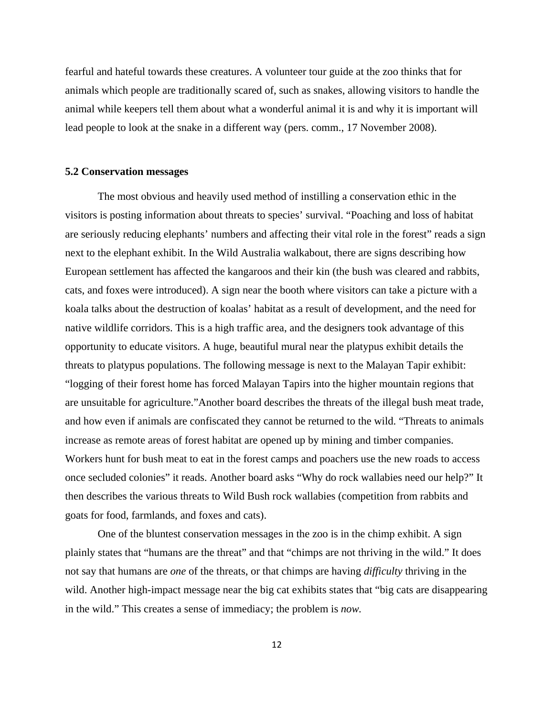fearful and hateful towards these creatures. A volunteer tour guide at the zoo thinks that for animals which people are traditionally scared of, such as snakes, allowing visitors to handle the animal while keepers tell them about what a wonderful animal it is and why it is important will lead people to look at the snake in a different way (pers. comm., 17 November 2008).

#### **5.2 Conservation messages**

The most obvious and heavily used method of instilling a conservation ethic in the visitors is posting information about threats to species' survival. "Poaching and loss of habitat are seriously reducing elephants' numbers and affecting their vital role in the forest" reads a sign next to the elephant exhibit. In the Wild Australia walkabout, there are signs describing how European settlement has affected the kangaroos and their kin (the bush was cleared and rabbits, cats, and foxes were introduced). A sign near the booth where visitors can take a picture with a koala talks about the destruction of koalas' habitat as a result of development, and the need for native wildlife corridors. This is a high traffic area, and the designers took advantage of this opportunity to educate visitors. A huge, beautiful mural near the platypus exhibit details the threats to platypus populations. The following message is next to the Malayan Tapir exhibit: "logging of their forest home has forced Malayan Tapirs into the higher mountain regions that are unsuitable for agriculture."Another board describes the threats of the illegal bush meat trade, and how even if animals are confiscated they cannot be returned to the wild. "Threats to animals increase as remote areas of forest habitat are opened up by mining and timber companies. Workers hunt for bush meat to eat in the forest camps and poachers use the new roads to access once secluded colonies" it reads. Another board asks "Why do rock wallabies need our help?" It then describes the various threats to Wild Bush rock wallabies (competition from rabbits and goats for food, farmlands, and foxes and cats).

One of the bluntest conservation messages in the zoo is in the chimp exhibit. A sign plainly states that "humans are the threat" and that "chimps are not thriving in the wild." It does not say that humans are *one* of the threats, or that chimps are having *difficulty* thriving in the wild. Another high-impact message near the big cat exhibits states that "big cats are disappearing in the wild." This creates a sense of immediacy; the problem is *now.*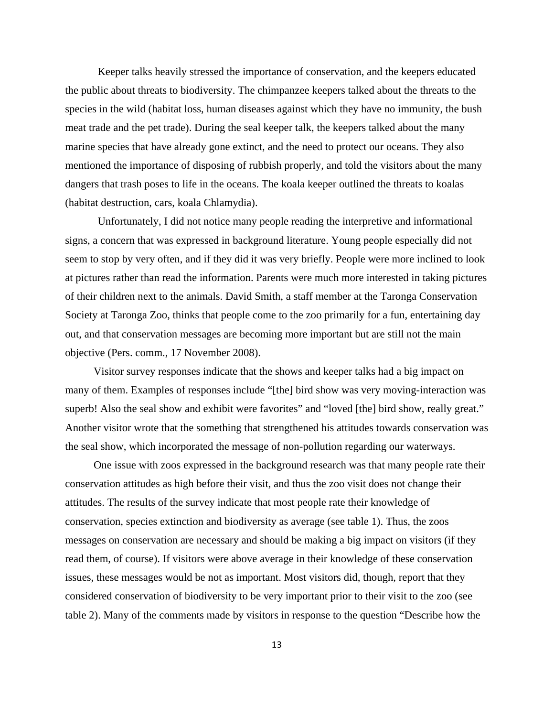Keeper talks heavily stressed the importance of conservation, and the keepers educated the public about threats to biodiversity. The chimpanzee keepers talked about the threats to the species in the wild (habitat loss, human diseases against which they have no immunity, the bush meat trade and the pet trade). During the seal keeper talk, the keepers talked about the many marine species that have already gone extinct, and the need to protect our oceans. They also mentioned the importance of disposing of rubbish properly, and told the visitors about the many dangers that trash poses to life in the oceans. The koala keeper outlined the threats to koalas (habitat destruction, cars, koala Chlamydia).

 Unfortunately, I did not notice many people reading the interpretive and informational signs, a concern that was expressed in background literature. Young people especially did not seem to stop by very often, and if they did it was very briefly. People were more inclined to look at pictures rather than read the information. Parents were much more interested in taking pictures of their children next to the animals. David Smith, a staff member at the Taronga Conservation Society at Taronga Zoo, thinks that people come to the zoo primarily for a fun, entertaining day out, and that conservation messages are becoming more important but are still not the main objective (Pers. comm., 17 November 2008).

 Visitor survey responses indicate that the shows and keeper talks had a big impact on many of them. Examples of responses include "[the] bird show was very moving-interaction was superb! Also the seal show and exhibit were favorites" and "loved [the] bird show, really great." Another visitor wrote that the something that strengthened his attitudes towards conservation was the seal show, which incorporated the message of non-pollution regarding our waterways.

 One issue with zoos expressed in the background research was that many people rate their conservation attitudes as high before their visit, and thus the zoo visit does not change their attitudes. The results of the survey indicate that most people rate their knowledge of conservation, species extinction and biodiversity as average (see table 1). Thus, the zoos messages on conservation are necessary and should be making a big impact on visitors (if they read them, of course). If visitors were above average in their knowledge of these conservation issues, these messages would be not as important. Most visitors did, though, report that they considered conservation of biodiversity to be very important prior to their visit to the zoo (see table 2). Many of the comments made by visitors in response to the question "Describe how the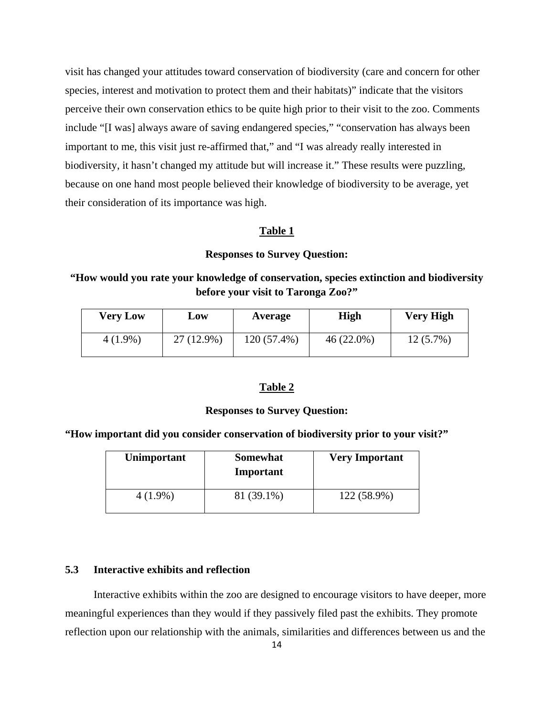visit has changed your attitudes toward conservation of biodiversity (care and concern for other species, interest and motivation to protect them and their habitats)" indicate that the visitors perceive their own conservation ethics to be quite high prior to their visit to the zoo. Comments include "[I was] always aware of saving endangered species," "conservation has always been important to me, this visit just re-affirmed that," and "I was already really interested in biodiversity, it hasn't changed my attitude but will increase it." These results were puzzling, because on one hand most people believed their knowledge of biodiversity to be average, yet their consideration of its importance was high.

## **Table 1**

## **Responses to Survey Question:**

## **"How would you rate your knowledge of conservation, species extinction and biodiversity before your visit to Taronga Zoo?"**

| <b>Very Low</b> | Low        | Average     | <b>High</b>  | <b>Very High</b> |
|-----------------|------------|-------------|--------------|------------------|
| $4(1.9\%)$      | 27 (12.9%) | 120 (57.4%) | $46(22.0\%)$ | $12(5.7\%)$      |

## **Table 2**

### **Responses to Survey Question:**

**"How important did you consider conservation of biodiversity prior to your visit?"** 

| Unimportant | <b>Somewhat</b><br>Important | <b>Very Important</b> |
|-------------|------------------------------|-----------------------|
| $4(1.9\%)$  | 81 (39.1%)                   | 122 (58.9%)           |

## **5.3 Interactive exhibits and reflection**

 Interactive exhibits within the zoo are designed to encourage visitors to have deeper, more meaningful experiences than they would if they passively filed past the exhibits. They promote reflection upon our relationship with the animals, similarities and differences between us and the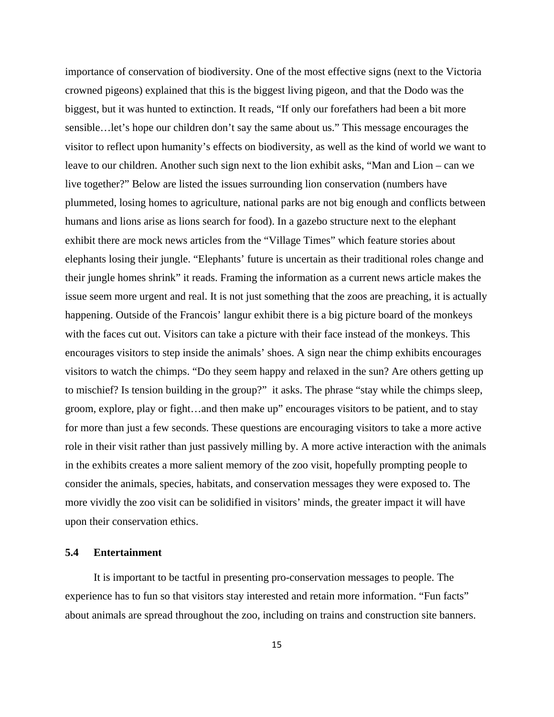importance of conservation of biodiversity. One of the most effective signs (next to the Victoria crowned pigeons) explained that this is the biggest living pigeon, and that the Dodo was the biggest, but it was hunted to extinction. It reads, "If only our forefathers had been a bit more sensible…let's hope our children don't say the same about us." This message encourages the visitor to reflect upon humanity's effects on biodiversity, as well as the kind of world we want to leave to our children. Another such sign next to the lion exhibit asks, "Man and Lion – can we live together?" Below are listed the issues surrounding lion conservation (numbers have plummeted, losing homes to agriculture, national parks are not big enough and conflicts between humans and lions arise as lions search for food). In a gazebo structure next to the elephant exhibit there are mock news articles from the "Village Times" which feature stories about elephants losing their jungle. "Elephants' future is uncertain as their traditional roles change and their jungle homes shrink" it reads. Framing the information as a current news article makes the issue seem more urgent and real. It is not just something that the zoos are preaching, it is actually happening. Outside of the Francois' langur exhibit there is a big picture board of the monkeys with the faces cut out. Visitors can take a picture with their face instead of the monkeys. This encourages visitors to step inside the animals' shoes. A sign near the chimp exhibits encourages visitors to watch the chimps. "Do they seem happy and relaxed in the sun? Are others getting up to mischief? Is tension building in the group?" it asks. The phrase "stay while the chimps sleep, groom, explore, play or fight…and then make up" encourages visitors to be patient, and to stay for more than just a few seconds. These questions are encouraging visitors to take a more active role in their visit rather than just passively milling by. A more active interaction with the animals in the exhibits creates a more salient memory of the zoo visit, hopefully prompting people to consider the animals, species, habitats, and conservation messages they were exposed to. The more vividly the zoo visit can be solidified in visitors' minds, the greater impact it will have upon their conservation ethics.

## **5.4 Entertainment**

 It is important to be tactful in presenting pro-conservation messages to people. The experience has to fun so that visitors stay interested and retain more information. "Fun facts" about animals are spread throughout the zoo, including on trains and construction site banners.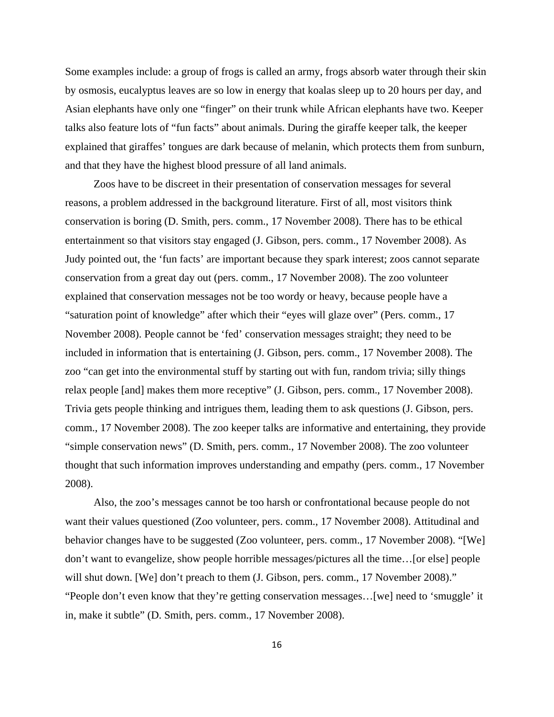Some examples include: a group of frogs is called an army, frogs absorb water through their skin by osmosis, eucalyptus leaves are so low in energy that koalas sleep up to 20 hours per day, and Asian elephants have only one "finger" on their trunk while African elephants have two. Keeper talks also feature lots of "fun facts" about animals. During the giraffe keeper talk, the keeper explained that giraffes' tongues are dark because of melanin, which protects them from sunburn, and that they have the highest blood pressure of all land animals.

 Zoos have to be discreet in their presentation of conservation messages for several reasons, a problem addressed in the background literature. First of all, most visitors think conservation is boring (D. Smith, pers. comm., 17 November 2008). There has to be ethical entertainment so that visitors stay engaged (J. Gibson, pers. comm., 17 November 2008). As Judy pointed out, the 'fun facts' are important because they spark interest; zoos cannot separate conservation from a great day out (pers. comm., 17 November 2008). The zoo volunteer explained that conservation messages not be too wordy or heavy, because people have a "saturation point of knowledge" after which their "eyes will glaze over" (Pers. comm., 17 November 2008). People cannot be 'fed' conservation messages straight; they need to be included in information that is entertaining (J. Gibson, pers. comm., 17 November 2008). The zoo "can get into the environmental stuff by starting out with fun, random trivia; silly things relax people [and] makes them more receptive" (J. Gibson, pers. comm., 17 November 2008). Trivia gets people thinking and intrigues them, leading them to ask questions (J. Gibson, pers. comm., 17 November 2008). The zoo keeper talks are informative and entertaining, they provide "simple conservation news" (D. Smith, pers. comm., 17 November 2008). The zoo volunteer thought that such information improves understanding and empathy (pers. comm., 17 November 2008).

 Also, the zoo's messages cannot be too harsh or confrontational because people do not want their values questioned (Zoo volunteer, pers. comm., 17 November 2008). Attitudinal and behavior changes have to be suggested (Zoo volunteer, pers. comm., 17 November 2008). "[We] don't want to evangelize, show people horrible messages/pictures all the time…[or else] people will shut down. [We] don't preach to them (J. Gibson, pers. comm., 17 November 2008)." "People don't even know that they're getting conservation messages…[we] need to 'smuggle' it in, make it subtle" (D. Smith, pers. comm., 17 November 2008).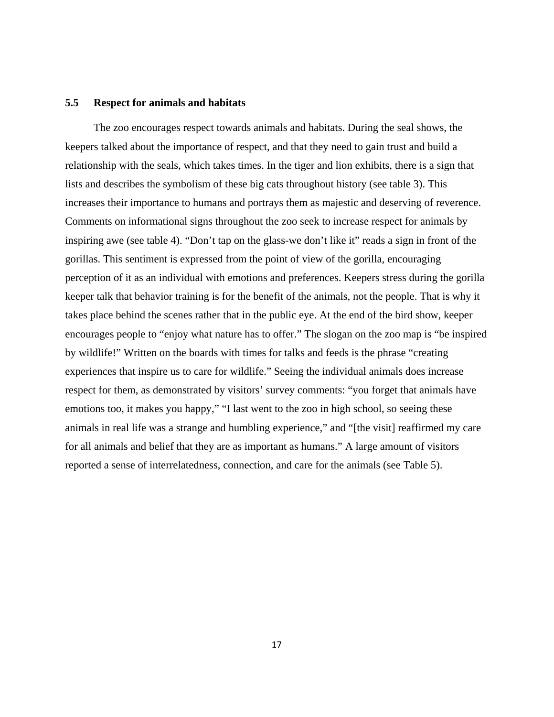### **5.5 Respect for animals and habitats**

 The zoo encourages respect towards animals and habitats. During the seal shows, the keepers talked about the importance of respect, and that they need to gain trust and build a relationship with the seals, which takes times. In the tiger and lion exhibits, there is a sign that lists and describes the symbolism of these big cats throughout history (see table 3). This increases their importance to humans and portrays them as majestic and deserving of reverence. Comments on informational signs throughout the zoo seek to increase respect for animals by inspiring awe (see table 4). "Don't tap on the glass-we don't like it" reads a sign in front of the gorillas. This sentiment is expressed from the point of view of the gorilla, encouraging perception of it as an individual with emotions and preferences. Keepers stress during the gorilla keeper talk that behavior training is for the benefit of the animals, not the people. That is why it takes place behind the scenes rather that in the public eye. At the end of the bird show, keeper encourages people to "enjoy what nature has to offer." The slogan on the zoo map is "be inspired by wildlife!" Written on the boards with times for talks and feeds is the phrase "creating experiences that inspire us to care for wildlife." Seeing the individual animals does increase respect for them, as demonstrated by visitors' survey comments: "you forget that animals have emotions too, it makes you happy," "I last went to the zoo in high school, so seeing these animals in real life was a strange and humbling experience," and "[the visit] reaffirmed my care for all animals and belief that they are as important as humans." A large amount of visitors reported a sense of interrelatedness, connection, and care for the animals (see Table 5).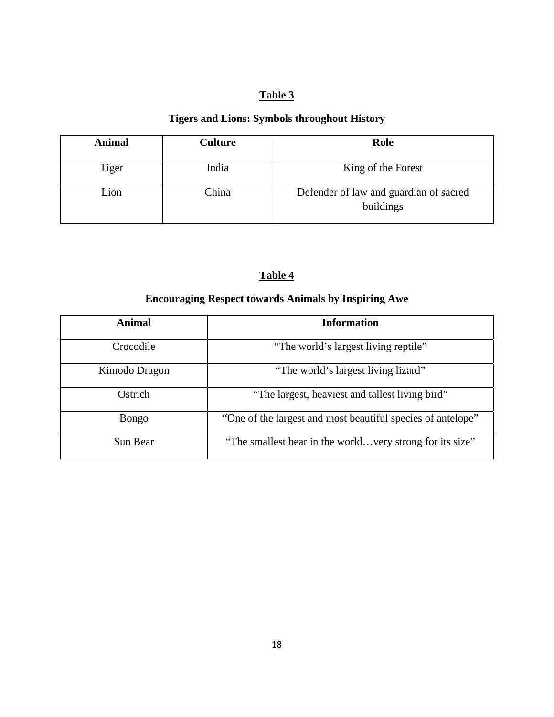## **Table 3**

## **Tigers and Lions: Symbols throughout History**

| <b>Animal</b> | <b>Culture</b> | Role                                                |
|---------------|----------------|-----------------------------------------------------|
| Tiger         | India          | King of the Forest                                  |
| Lion          | China          | Defender of law and guardian of sacred<br>buildings |

## **Table 4**

## **Encouraging Respect towards Animals by Inspiring Awe**

| <b>Animal</b> | <b>Information</b>                                          |
|---------------|-------------------------------------------------------------|
| Crocodile     | "The world's largest living reptile"                        |
| Kimodo Dragon | "The world's largest living lizard"                         |
| Ostrich       | "The largest, heaviest and tallest living bird"             |
| Bongo         | "One of the largest and most beautiful species of antelope" |
| Sun Bear      | "The smallest bear in the world very strong for its size"   |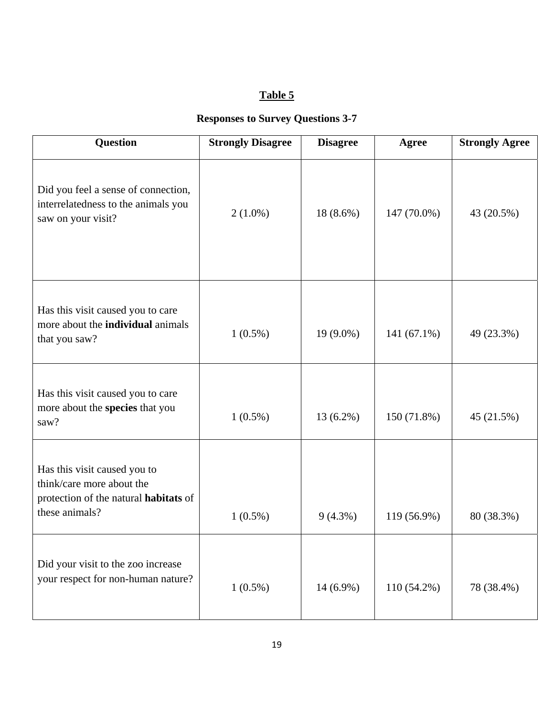# **Table 5**

## **Responses to Survey Questions 3-7**

| <b>Question</b>                                                                                                      | <b>Strongly Disagree</b> | <b>Disagree</b> | Agree       | <b>Strongly Agree</b> |
|----------------------------------------------------------------------------------------------------------------------|--------------------------|-----------------|-------------|-----------------------|
| Did you feel a sense of connection,<br>interrelatedness to the animals you<br>saw on your visit?                     | $2(1.0\%)$               | $18(8.6\%)$     | 147 (70.0%) | 43 (20.5%)            |
| Has this visit caused you to care<br>more about the <b>individual</b> animals<br>that you saw?                       | $1(0.5\%)$               | $19(9.0\%)$     | 141 (67.1%) | 49 (23.3%)            |
| Has this visit caused you to care<br>more about the species that you<br>saw?                                         | $1(0.5\%)$               | 13 (6.2%)       | 150 (71.8%) | 45 (21.5%)            |
| Has this visit caused you to<br>think/care more about the<br>protection of the natural habitats of<br>these animals? | $1(0.5\%)$               | $9(4.3\%)$      | 119 (56.9%) | 80 (38.3%)            |
| Did your visit to the zoo increase<br>your respect for non-human nature?                                             | $1(0.5\%)$               | $14(6.9\%)$     | 110 (54.2%) | 78 (38.4%)            |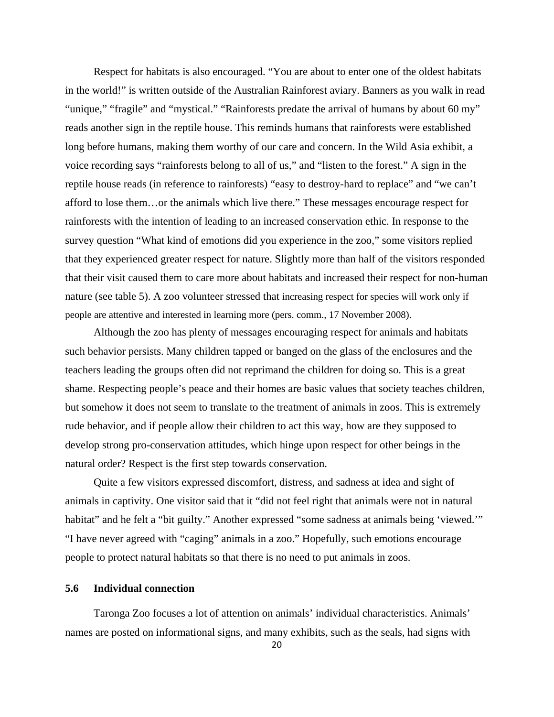Respect for habitats is also encouraged. "You are about to enter one of the oldest habitats in the world!" is written outside of the Australian Rainforest aviary. Banners as you walk in read "unique," "fragile" and "mystical." "Rainforests predate the arrival of humans by about 60 my" reads another sign in the reptile house. This reminds humans that rainforests were established long before humans, making them worthy of our care and concern. In the Wild Asia exhibit, a voice recording says "rainforests belong to all of us," and "listen to the forest." A sign in the reptile house reads (in reference to rainforests) "easy to destroy-hard to replace" and "we can't afford to lose them…or the animals which live there." These messages encourage respect for rainforests with the intention of leading to an increased conservation ethic. In response to the survey question "What kind of emotions did you experience in the zoo," some visitors replied that they experienced greater respect for nature. Slightly more than half of the visitors responded that their visit caused them to care more about habitats and increased their respect for non-human nature (see table 5). A zoo volunteer stressed that increasing respect for species will work only if people are attentive and interested in learning more (pers. comm., 17 November 2008).

 Although the zoo has plenty of messages encouraging respect for animals and habitats such behavior persists. Many children tapped or banged on the glass of the enclosures and the teachers leading the groups often did not reprimand the children for doing so. This is a great shame. Respecting people's peace and their homes are basic values that society teaches children, but somehow it does not seem to translate to the treatment of animals in zoos. This is extremely rude behavior, and if people allow their children to act this way, how are they supposed to develop strong pro-conservation attitudes, which hinge upon respect for other beings in the natural order? Respect is the first step towards conservation.

 Quite a few visitors expressed discomfort, distress, and sadness at idea and sight of animals in captivity. One visitor said that it "did not feel right that animals were not in natural habitat" and he felt a "bit guilty." Another expressed "some sadness at animals being 'viewed." "I have never agreed with "caging" animals in a zoo." Hopefully, such emotions encourage people to protect natural habitats so that there is no need to put animals in zoos.

## **5.6 Individual connection**

 Taronga Zoo focuses a lot of attention on animals' individual characteristics. Animals' names are posted on informational signs, and many exhibits, such as the seals, had signs with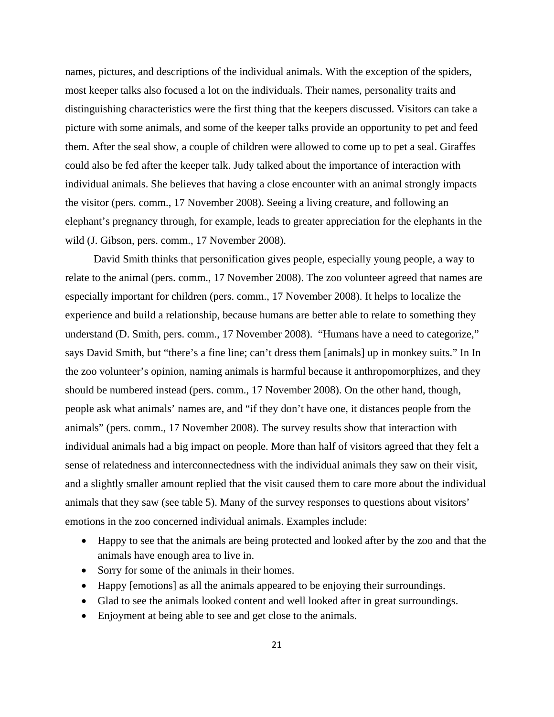names, pictures, and descriptions of the individual animals. With the exception of the spiders, most keeper talks also focused a lot on the individuals. Their names, personality traits and distinguishing characteristics were the first thing that the keepers discussed. Visitors can take a picture with some animals, and some of the keeper talks provide an opportunity to pet and feed them. After the seal show, a couple of children were allowed to come up to pet a seal. Giraffes could also be fed after the keeper talk. Judy talked about the importance of interaction with individual animals. She believes that having a close encounter with an animal strongly impacts the visitor (pers. comm., 17 November 2008). Seeing a living creature, and following an elephant's pregnancy through, for example, leads to greater appreciation for the elephants in the wild (J. Gibson, pers. comm., 17 November 2008).

 David Smith thinks that personification gives people, especially young people, a way to relate to the animal (pers. comm., 17 November 2008). The zoo volunteer agreed that names are especially important for children (pers. comm., 17 November 2008). It helps to localize the experience and build a relationship, because humans are better able to relate to something they understand (D. Smith, pers. comm., 17 November 2008). "Humans have a need to categorize," says David Smith, but "there's a fine line; can't dress them [animals] up in monkey suits." In In the zoo volunteer's opinion, naming animals is harmful because it anthropomorphizes, and they should be numbered instead (pers. comm., 17 November 2008). On the other hand, though, people ask what animals' names are, and "if they don't have one, it distances people from the animals" (pers. comm., 17 November 2008). The survey results show that interaction with individual animals had a big impact on people. More than half of visitors agreed that they felt a sense of relatedness and interconnectedness with the individual animals they saw on their visit, and a slightly smaller amount replied that the visit caused them to care more about the individual animals that they saw (see table 5). Many of the survey responses to questions about visitors' emotions in the zoo concerned individual animals. Examples include:

- Happy to see that the animals are being protected and looked after by the zoo and that the animals have enough area to live in.
- Sorry for some of the animals in their homes.
- Happy [emotions] as all the animals appeared to be enjoying their surroundings.
- Glad to see the animals looked content and well looked after in great surroundings.
- Enjoyment at being able to see and get close to the animals.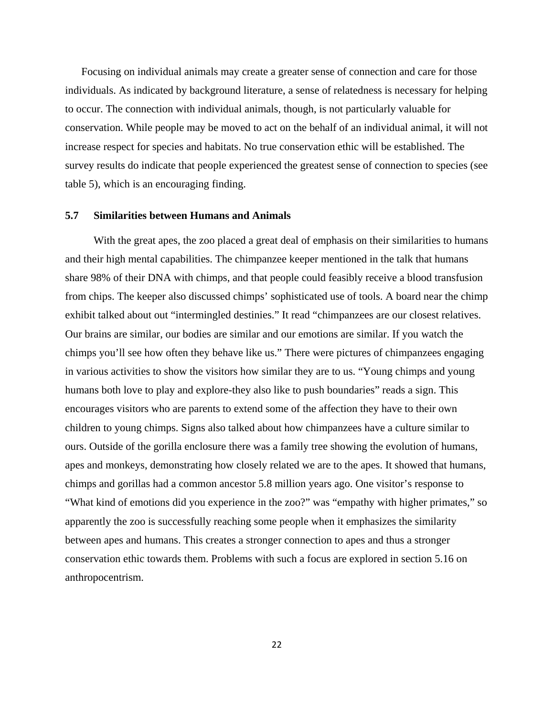Focusing on individual animals may create a greater sense of connection and care for those individuals. As indicated by background literature, a sense of relatedness is necessary for helping to occur. The connection with individual animals, though, is not particularly valuable for conservation. While people may be moved to act on the behalf of an individual animal, it will not increase respect for species and habitats. No true conservation ethic will be established. The survey results do indicate that people experienced the greatest sense of connection to species (see table 5), which is an encouraging finding.

## **5.7 Similarities between Humans and Animals**

With the great apes, the zoo placed a great deal of emphasis on their similarities to humans and their high mental capabilities. The chimpanzee keeper mentioned in the talk that humans share 98% of their DNA with chimps, and that people could feasibly receive a blood transfusion from chips. The keeper also discussed chimps' sophisticated use of tools. A board near the chimp exhibit talked about out "intermingled destinies." It read "chimpanzees are our closest relatives. Our brains are similar, our bodies are similar and our emotions are similar. If you watch the chimps you'll see how often they behave like us." There were pictures of chimpanzees engaging in various activities to show the visitors how similar they are to us. "Young chimps and young humans both love to play and explore-they also like to push boundaries" reads a sign. This encourages visitors who are parents to extend some of the affection they have to their own children to young chimps. Signs also talked about how chimpanzees have a culture similar to ours. Outside of the gorilla enclosure there was a family tree showing the evolution of humans, apes and monkeys, demonstrating how closely related we are to the apes. It showed that humans, chimps and gorillas had a common ancestor 5.8 million years ago. One visitor's response to "What kind of emotions did you experience in the zoo?" was "empathy with higher primates," so apparently the zoo is successfully reaching some people when it emphasizes the similarity between apes and humans. This creates a stronger connection to apes and thus a stronger conservation ethic towards them. Problems with such a focus are explored in section 5.16 on anthropocentrism.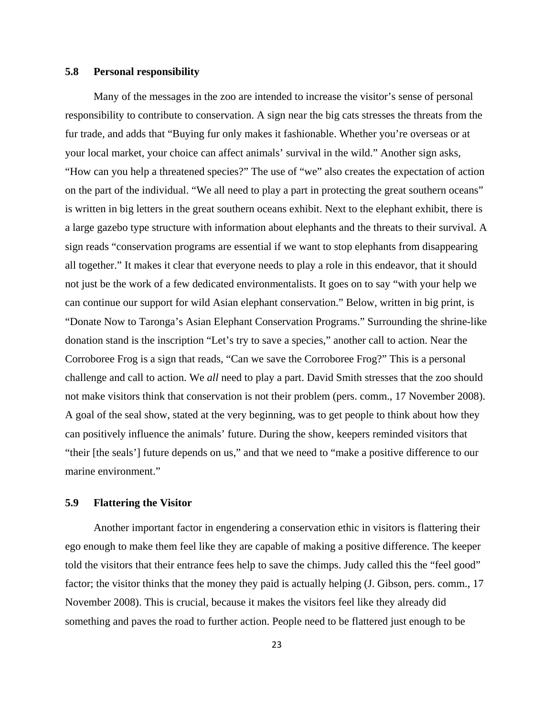## **5.8 Personal responsibility**

Many of the messages in the zoo are intended to increase the visitor's sense of personal responsibility to contribute to conservation. A sign near the big cats stresses the threats from the fur trade, and adds that "Buying fur only makes it fashionable. Whether you're overseas or at your local market, your choice can affect animals' survival in the wild." Another sign asks, "How can you help a threatened species?" The use of "we" also creates the expectation of action on the part of the individual. "We all need to play a part in protecting the great southern oceans" is written in big letters in the great southern oceans exhibit. Next to the elephant exhibit, there is a large gazebo type structure with information about elephants and the threats to their survival. A sign reads "conservation programs are essential if we want to stop elephants from disappearing all together." It makes it clear that everyone needs to play a role in this endeavor, that it should not just be the work of a few dedicated environmentalists. It goes on to say "with your help we can continue our support for wild Asian elephant conservation." Below, written in big print, is "Donate Now to Taronga's Asian Elephant Conservation Programs." Surrounding the shrine-like donation stand is the inscription "Let's try to save a species," another call to action. Near the Corroboree Frog is a sign that reads, "Can we save the Corroboree Frog?" This is a personal challenge and call to action. We *all* need to play a part. David Smith stresses that the zoo should not make visitors think that conservation is not their problem (pers. comm., 17 November 2008). A goal of the seal show, stated at the very beginning, was to get people to think about how they can positively influence the animals' future. During the show, keepers reminded visitors that "their [the seals'] future depends on us," and that we need to "make a positive difference to our marine environment."

## **5.9 Flattering the Visitor**

 Another important factor in engendering a conservation ethic in visitors is flattering their ego enough to make them feel like they are capable of making a positive difference. The keeper told the visitors that their entrance fees help to save the chimps. Judy called this the "feel good" factor; the visitor thinks that the money they paid is actually helping (J. Gibson, pers. comm., 17 November 2008). This is crucial, because it makes the visitors feel like they already did something and paves the road to further action. People need to be flattered just enough to be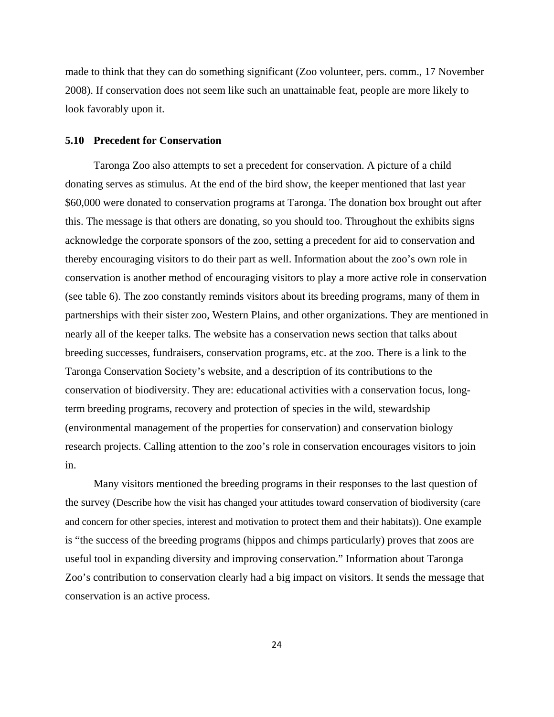made to think that they can do something significant (Zoo volunteer, pers. comm., 17 November 2008). If conservation does not seem like such an unattainable feat, people are more likely to look favorably upon it.

## **5.10 Precedent for Conservation**

Taronga Zoo also attempts to set a precedent for conservation. A picture of a child donating serves as stimulus. At the end of the bird show, the keeper mentioned that last year \$60,000 were donated to conservation programs at Taronga. The donation box brought out after this. The message is that others are donating, so you should too. Throughout the exhibits signs acknowledge the corporate sponsors of the zoo, setting a precedent for aid to conservation and thereby encouraging visitors to do their part as well. Information about the zoo's own role in conservation is another method of encouraging visitors to play a more active role in conservation (see table 6). The zoo constantly reminds visitors about its breeding programs, many of them in partnerships with their sister zoo, Western Plains, and other organizations. They are mentioned in nearly all of the keeper talks. The website has a conservation news section that talks about breeding successes, fundraisers, conservation programs, etc. at the zoo. There is a link to the Taronga Conservation Society's website, and a description of its contributions to the conservation of biodiversity. They are: educational activities with a conservation focus, longterm breeding programs, recovery and protection of species in the wild, stewardship (environmental management of the properties for conservation) and conservation biology research projects. Calling attention to the zoo's role in conservation encourages visitors to join in.

 Many visitors mentioned the breeding programs in their responses to the last question of the survey (Describe how the visit has changed your attitudes toward conservation of biodiversity (care and concern for other species, interest and motivation to protect them and their habitats)). One example is "the success of the breeding programs (hippos and chimps particularly) proves that zoos are useful tool in expanding diversity and improving conservation." Information about Taronga Zoo's contribution to conservation clearly had a big impact on visitors. It sends the message that conservation is an active process.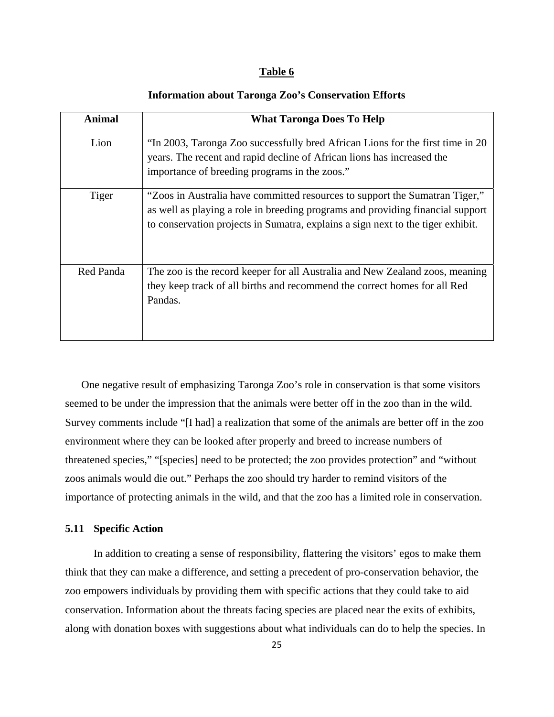### **Table 6**

| Animal    | <b>What Taronga Does To Help</b>                                                                                                                                                                                                                 |
|-----------|--------------------------------------------------------------------------------------------------------------------------------------------------------------------------------------------------------------------------------------------------|
| Lion      | "In 2003, Taronga Zoo successfully bred African Lions for the first time in 20<br>years. The recent and rapid decline of African lions has increased the<br>importance of breeding programs in the zoos."                                        |
| Tiger     | "Zoos in Australia have committed resources to support the Sumatran Tiger,"<br>as well as playing a role in breeding programs and providing financial support<br>to conservation projects in Sumatra, explains a sign next to the tiger exhibit. |
| Red Panda | The zoo is the record keeper for all Australia and New Zealand zoos, meaning<br>they keep track of all births and recommend the correct homes for all Red<br>Pandas.                                                                             |

## **Information about Taronga Zoo's Conservation Efforts**

One negative result of emphasizing Taronga Zoo's role in conservation is that some visitors seemed to be under the impression that the animals were better off in the zoo than in the wild. Survey comments include "[I had] a realization that some of the animals are better off in the zoo environment where they can be looked after properly and breed to increase numbers of threatened species," "[species] need to be protected; the zoo provides protection" and "without zoos animals would die out." Perhaps the zoo should try harder to remind visitors of the importance of protecting animals in the wild, and that the zoo has a limited role in conservation.

## **5.11 Specific Action**

In addition to creating a sense of responsibility, flattering the visitors' egos to make them think that they can make a difference, and setting a precedent of pro-conservation behavior, the zoo empowers individuals by providing them with specific actions that they could take to aid conservation. Information about the threats facing species are placed near the exits of exhibits, along with donation boxes with suggestions about what individuals can do to help the species. In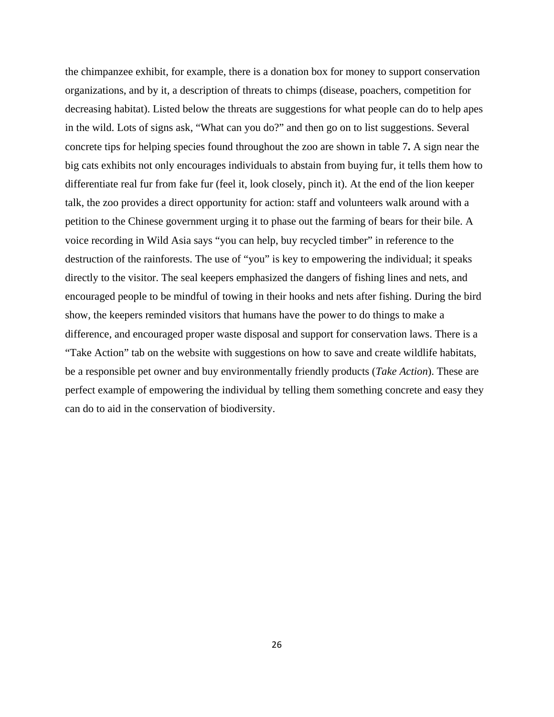the chimpanzee exhibit, for example, there is a donation box for money to support conservation organizations, and by it, a description of threats to chimps (disease, poachers, competition for decreasing habitat). Listed below the threats are suggestions for what people can do to help apes in the wild. Lots of signs ask, "What can you do?" and then go on to list suggestions. Several concrete tips for helping species found throughout the zoo are shown in table 7**.** A sign near the big cats exhibits not only encourages individuals to abstain from buying fur, it tells them how to differentiate real fur from fake fur (feel it, look closely, pinch it). At the end of the lion keeper talk, the zoo provides a direct opportunity for action: staff and volunteers walk around with a petition to the Chinese government urging it to phase out the farming of bears for their bile. A voice recording in Wild Asia says "you can help, buy recycled timber" in reference to the destruction of the rainforests. The use of "you" is key to empowering the individual; it speaks directly to the visitor. The seal keepers emphasized the dangers of fishing lines and nets, and encouraged people to be mindful of towing in their hooks and nets after fishing. During the bird show, the keepers reminded visitors that humans have the power to do things to make a difference, and encouraged proper waste disposal and support for conservation laws. There is a "Take Action" tab on the website with suggestions on how to save and create wildlife habitats, be a responsible pet owner and buy environmentally friendly products (*Take Action*). These are perfect example of empowering the individual by telling them something concrete and easy they can do to aid in the conservation of biodiversity.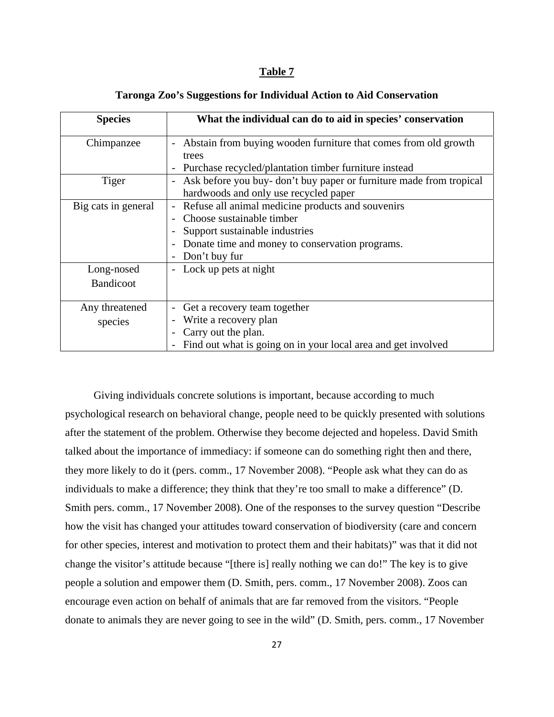## **Table 7**

| <b>Species</b>      | What the individual can do to aid in species' conservation                                     |
|---------------------|------------------------------------------------------------------------------------------------|
| Chimpanzee          | Abstain from buying wooden furniture that comes from old growth<br>$\overline{\phantom{a}}$    |
|                     | trees                                                                                          |
|                     | Purchase recycled/plantation timber furniture instead                                          |
| Tiger               | Ask before you buy-don't buy paper or furniture made from tropical<br>$\overline{\phantom{0}}$ |
|                     | hardwoods and only use recycled paper                                                          |
| Big cats in general | Refuse all animal medicine products and souvenirs<br>$\overline{\phantom{a}}$                  |
|                     | Choose sustainable timber                                                                      |
|                     | Support sustainable industries                                                                 |
|                     | Donate time and money to conservation programs.<br>-                                           |
|                     | Don't buy fur                                                                                  |
| Long-nosed          | Lock up pets at night<br>$\overline{\phantom{a}}$                                              |
| <b>Bandicoot</b>    |                                                                                                |
|                     |                                                                                                |
| Any threatened      | Get a recovery team together<br>$\overline{\phantom{a}}$                                       |
| species             | Write a recovery plan                                                                          |
|                     | Carry out the plan.                                                                            |
|                     | Find out what is going on in your local area and get involved<br>$\overline{\phantom{0}}$      |

### **Taronga Zoo's Suggestions for Individual Action to Aid Conservation**

 Giving individuals concrete solutions is important, because according to much psychological research on behavioral change, people need to be quickly presented with solutions after the statement of the problem. Otherwise they become dejected and hopeless. David Smith talked about the importance of immediacy: if someone can do something right then and there, they more likely to do it (pers. comm., 17 November 2008). "People ask what they can do as individuals to make a difference; they think that they're too small to make a difference" (D. Smith pers. comm., 17 November 2008). One of the responses to the survey question "Describe how the visit has changed your attitudes toward conservation of biodiversity (care and concern for other species, interest and motivation to protect them and their habitats)" was that it did not change the visitor's attitude because "[there is] really nothing we can do!" The key is to give people a solution and empower them (D. Smith, pers. comm., 17 November 2008). Zoos can encourage even action on behalf of animals that are far removed from the visitors. "People donate to animals they are never going to see in the wild" (D. Smith, pers. comm., 17 November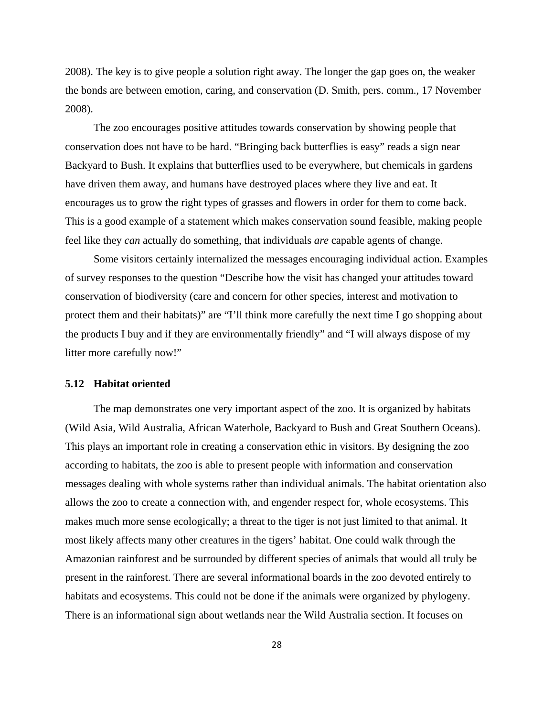2008). The key is to give people a solution right away. The longer the gap goes on, the weaker the bonds are between emotion, caring, and conservation (D. Smith, pers. comm., 17 November 2008).

 The zoo encourages positive attitudes towards conservation by showing people that conservation does not have to be hard. "Bringing back butterflies is easy" reads a sign near Backyard to Bush. It explains that butterflies used to be everywhere, but chemicals in gardens have driven them away, and humans have destroyed places where they live and eat. It encourages us to grow the right types of grasses and flowers in order for them to come back. This is a good example of a statement which makes conservation sound feasible, making people feel like they *can* actually do something, that individuals *are* capable agents of change.

 Some visitors certainly internalized the messages encouraging individual action. Examples of survey responses to the question "Describe how the visit has changed your attitudes toward conservation of biodiversity (care and concern for other species, interest and motivation to protect them and their habitats)" are "I'll think more carefully the next time I go shopping about the products I buy and if they are environmentally friendly" and "I will always dispose of my litter more carefully now!"

## **5.12 Habitat oriented**

 The map demonstrates one very important aspect of the zoo. It is organized by habitats (Wild Asia, Wild Australia, African Waterhole, Backyard to Bush and Great Southern Oceans). This plays an important role in creating a conservation ethic in visitors. By designing the zoo according to habitats, the zoo is able to present people with information and conservation messages dealing with whole systems rather than individual animals. The habitat orientation also allows the zoo to create a connection with, and engender respect for, whole ecosystems. This makes much more sense ecologically; a threat to the tiger is not just limited to that animal. It most likely affects many other creatures in the tigers' habitat. One could walk through the Amazonian rainforest and be surrounded by different species of animals that would all truly be present in the rainforest. There are several informational boards in the zoo devoted entirely to habitats and ecosystems. This could not be done if the animals were organized by phylogeny. There is an informational sign about wetlands near the Wild Australia section. It focuses on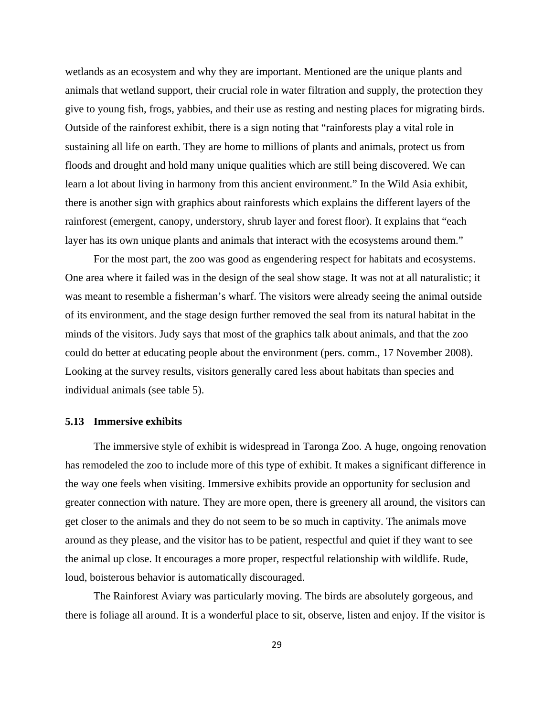wetlands as an ecosystem and why they are important. Mentioned are the unique plants and animals that wetland support, their crucial role in water filtration and supply, the protection they give to young fish, frogs, yabbies, and their use as resting and nesting places for migrating birds. Outside of the rainforest exhibit, there is a sign noting that "rainforests play a vital role in sustaining all life on earth. They are home to millions of plants and animals, protect us from floods and drought and hold many unique qualities which are still being discovered. We can learn a lot about living in harmony from this ancient environment." In the Wild Asia exhibit, there is another sign with graphics about rainforests which explains the different layers of the rainforest (emergent, canopy, understory, shrub layer and forest floor). It explains that "each layer has its own unique plants and animals that interact with the ecosystems around them."

 For the most part, the zoo was good as engendering respect for habitats and ecosystems. One area where it failed was in the design of the seal show stage. It was not at all naturalistic; it was meant to resemble a fisherman's wharf. The visitors were already seeing the animal outside of its environment, and the stage design further removed the seal from its natural habitat in the minds of the visitors. Judy says that most of the graphics talk about animals, and that the zoo could do better at educating people about the environment (pers. comm., 17 November 2008). Looking at the survey results, visitors generally cared less about habitats than species and individual animals (see table 5).

### **5.13 Immersive exhibits**

 The immersive style of exhibit is widespread in Taronga Zoo. A huge, ongoing renovation has remodeled the zoo to include more of this type of exhibit. It makes a significant difference in the way one feels when visiting. Immersive exhibits provide an opportunity for seclusion and greater connection with nature. They are more open, there is greenery all around, the visitors can get closer to the animals and they do not seem to be so much in captivity. The animals move around as they please, and the visitor has to be patient, respectful and quiet if they want to see the animal up close. It encourages a more proper, respectful relationship with wildlife. Rude, loud, boisterous behavior is automatically discouraged.

 The Rainforest Aviary was particularly moving. The birds are absolutely gorgeous, and there is foliage all around. It is a wonderful place to sit, observe, listen and enjoy. If the visitor is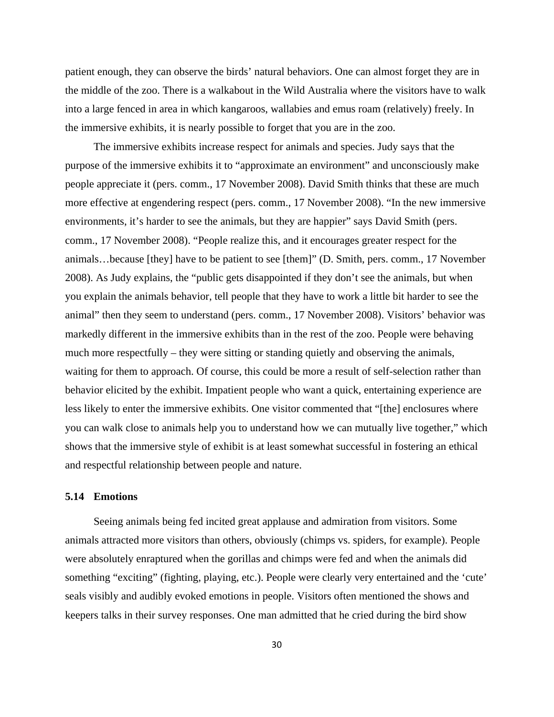patient enough, they can observe the birds' natural behaviors. One can almost forget they are in the middle of the zoo. There is a walkabout in the Wild Australia where the visitors have to walk into a large fenced in area in which kangaroos, wallabies and emus roam (relatively) freely. In the immersive exhibits, it is nearly possible to forget that you are in the zoo.

 The immersive exhibits increase respect for animals and species. Judy says that the purpose of the immersive exhibits it to "approximate an environment" and unconsciously make people appreciate it (pers. comm., 17 November 2008). David Smith thinks that these are much more effective at engendering respect (pers. comm., 17 November 2008). "In the new immersive environments, it's harder to see the animals, but they are happier" says David Smith (pers. comm., 17 November 2008). "People realize this, and it encourages greater respect for the animals…because [they] have to be patient to see [them]" (D. Smith, pers. comm., 17 November 2008). As Judy explains, the "public gets disappointed if they don't see the animals, but when you explain the animals behavior, tell people that they have to work a little bit harder to see the animal" then they seem to understand (pers. comm., 17 November 2008). Visitors' behavior was markedly different in the immersive exhibits than in the rest of the zoo. People were behaving much more respectfully – they were sitting or standing quietly and observing the animals, waiting for them to approach. Of course, this could be more a result of self-selection rather than behavior elicited by the exhibit. Impatient people who want a quick, entertaining experience are less likely to enter the immersive exhibits. One visitor commented that "[the] enclosures where you can walk close to animals help you to understand how we can mutually live together," which shows that the immersive style of exhibit is at least somewhat successful in fostering an ethical and respectful relationship between people and nature.

## **5.14 Emotions**

 Seeing animals being fed incited great applause and admiration from visitors. Some animals attracted more visitors than others, obviously (chimps vs. spiders, for example). People were absolutely enraptured when the gorillas and chimps were fed and when the animals did something "exciting" (fighting, playing, etc.). People were clearly very entertained and the 'cute' seals visibly and audibly evoked emotions in people. Visitors often mentioned the shows and keepers talks in their survey responses. One man admitted that he cried during the bird show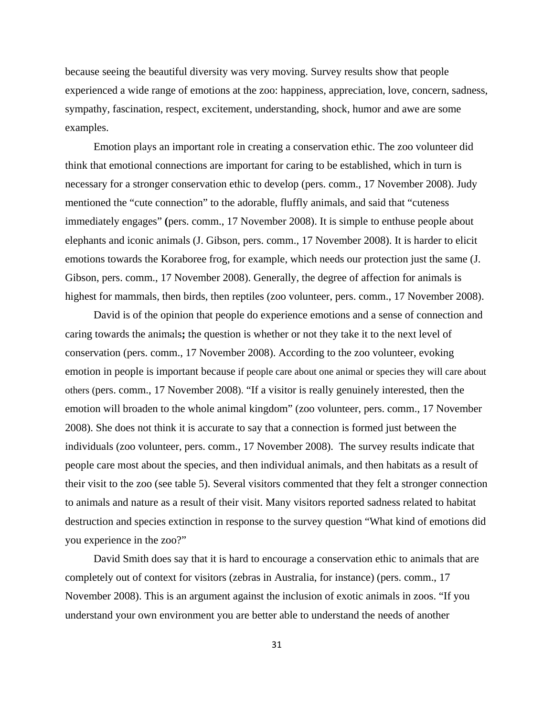because seeing the beautiful diversity was very moving. Survey results show that people experienced a wide range of emotions at the zoo: happiness, appreciation, love, concern, sadness, sympathy, fascination, respect, excitement, understanding, shock, humor and awe are some examples.

 Emotion plays an important role in creating a conservation ethic. The zoo volunteer did think that emotional connections are important for caring to be established, which in turn is necessary for a stronger conservation ethic to develop (pers. comm., 17 November 2008). Judy mentioned the "cute connection" to the adorable, fluffly animals, and said that "cuteness immediately engages" **(**pers. comm., 17 November 2008). It is simple to enthuse people about elephants and iconic animals (J. Gibson, pers. comm., 17 November 2008). It is harder to elicit emotions towards the Koraboree frog, for example, which needs our protection just the same (J. Gibson, pers. comm., 17 November 2008). Generally, the degree of affection for animals is highest for mammals, then birds, then reptiles (zoo volunteer, pers. comm., 17 November 2008).

 David is of the opinion that people do experience emotions and a sense of connection and caring towards the animals**;** the question is whether or not they take it to the next level of conservation (pers. comm., 17 November 2008). According to the zoo volunteer, evoking emotion in people is important because if people care about one animal or species they will care about others (pers. comm., 17 November 2008). "If a visitor is really genuinely interested, then the emotion will broaden to the whole animal kingdom" (zoo volunteer, pers. comm., 17 November 2008). She does not think it is accurate to say that a connection is formed just between the individuals (zoo volunteer, pers. comm., 17 November 2008). The survey results indicate that people care most about the species, and then individual animals, and then habitats as a result of their visit to the zoo (see table 5). Several visitors commented that they felt a stronger connection to animals and nature as a result of their visit. Many visitors reported sadness related to habitat destruction and species extinction in response to the survey question "What kind of emotions did you experience in the zoo?"

 David Smith does say that it is hard to encourage a conservation ethic to animals that are completely out of context for visitors (zebras in Australia, for instance) (pers. comm., 17 November 2008). This is an argument against the inclusion of exotic animals in zoos. "If you understand your own environment you are better able to understand the needs of another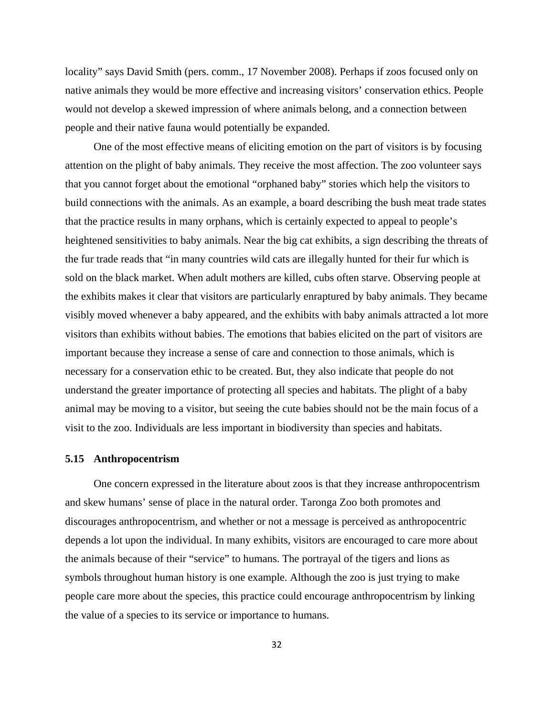locality" says David Smith (pers. comm., 17 November 2008). Perhaps if zoos focused only on native animals they would be more effective and increasing visitors' conservation ethics. People would not develop a skewed impression of where animals belong, and a connection between people and their native fauna would potentially be expanded.

 One of the most effective means of eliciting emotion on the part of visitors is by focusing attention on the plight of baby animals. They receive the most affection. The zoo volunteer says that you cannot forget about the emotional "orphaned baby" stories which help the visitors to build connections with the animals. As an example, a board describing the bush meat trade states that the practice results in many orphans, which is certainly expected to appeal to people's heightened sensitivities to baby animals. Near the big cat exhibits, a sign describing the threats of the fur trade reads that "in many countries wild cats are illegally hunted for their fur which is sold on the black market. When adult mothers are killed, cubs often starve. Observing people at the exhibits makes it clear that visitors are particularly enraptured by baby animals. They became visibly moved whenever a baby appeared, and the exhibits with baby animals attracted a lot more visitors than exhibits without babies. The emotions that babies elicited on the part of visitors are important because they increase a sense of care and connection to those animals, which is necessary for a conservation ethic to be created. But, they also indicate that people do not understand the greater importance of protecting all species and habitats. The plight of a baby animal may be moving to a visitor, but seeing the cute babies should not be the main focus of a visit to the zoo. Individuals are less important in biodiversity than species and habitats.

## **5.15 Anthropocentrism**

 One concern expressed in the literature about zoos is that they increase anthropocentrism and skew humans' sense of place in the natural order. Taronga Zoo both promotes and discourages anthropocentrism, and whether or not a message is perceived as anthropocentric depends a lot upon the individual. In many exhibits, visitors are encouraged to care more about the animals because of their "service" to humans. The portrayal of the tigers and lions as symbols throughout human history is one example. Although the zoo is just trying to make people care more about the species, this practice could encourage anthropocentrism by linking the value of a species to its service or importance to humans.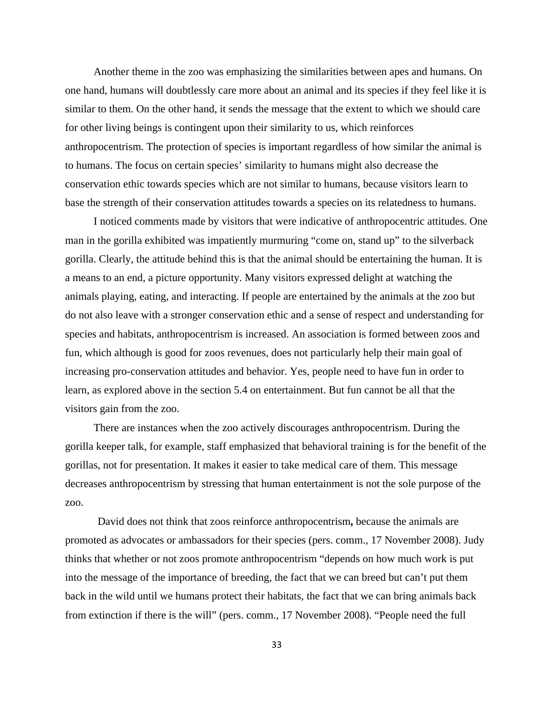Another theme in the zoo was emphasizing the similarities between apes and humans. On one hand, humans will doubtlessly care more about an animal and its species if they feel like it is similar to them. On the other hand, it sends the message that the extent to which we should care for other living beings is contingent upon their similarity to us, which reinforces anthropocentrism. The protection of species is important regardless of how similar the animal is to humans. The focus on certain species' similarity to humans might also decrease the conservation ethic towards species which are not similar to humans, because visitors learn to base the strength of their conservation attitudes towards a species on its relatedness to humans.

 I noticed comments made by visitors that were indicative of anthropocentric attitudes. One man in the gorilla exhibited was impatiently murmuring "come on, stand up" to the silverback gorilla. Clearly, the attitude behind this is that the animal should be entertaining the human. It is a means to an end, a picture opportunity. Many visitors expressed delight at watching the animals playing, eating, and interacting. If people are entertained by the animals at the zoo but do not also leave with a stronger conservation ethic and a sense of respect and understanding for species and habitats, anthropocentrism is increased. An association is formed between zoos and fun, which although is good for zoos revenues, does not particularly help their main goal of increasing pro-conservation attitudes and behavior. Yes, people need to have fun in order to learn, as explored above in the section 5.4 on entertainment. But fun cannot be all that the visitors gain from the zoo.

 There are instances when the zoo actively discourages anthropocentrism. During the gorilla keeper talk, for example, staff emphasized that behavioral training is for the benefit of the gorillas, not for presentation. It makes it easier to take medical care of them. This message decreases anthropocentrism by stressing that human entertainment is not the sole purpose of the zoo.

David does not think that zoos reinforce anthropocentrism**,** because the animals are promoted as advocates or ambassadors for their species (pers. comm., 17 November 2008). Judy thinks that whether or not zoos promote anthropocentrism "depends on how much work is put into the message of the importance of breeding, the fact that we can breed but can't put them back in the wild until we humans protect their habitats, the fact that we can bring animals back from extinction if there is the will" (pers. comm., 17 November 2008). "People need the full

33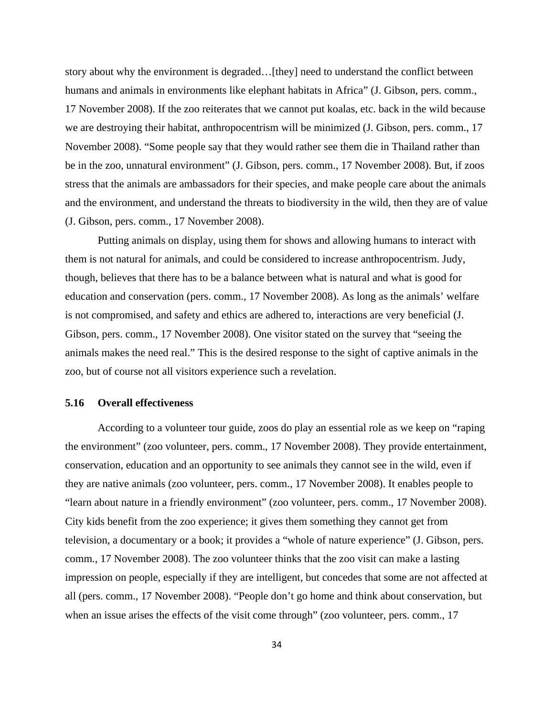story about why the environment is degraded…[they] need to understand the conflict between humans and animals in environments like elephant habitats in Africa" (J. Gibson, pers. comm., 17 November 2008). If the zoo reiterates that we cannot put koalas, etc. back in the wild because we are destroying their habitat, anthropocentrism will be minimized (J. Gibson, pers. comm., 17 November 2008). "Some people say that they would rather see them die in Thailand rather than be in the zoo, unnatural environment" (J. Gibson, pers. comm., 17 November 2008). But, if zoos stress that the animals are ambassadors for their species, and make people care about the animals and the environment, and understand the threats to biodiversity in the wild, then they are of value (J. Gibson, pers. comm., 17 November 2008).

Putting animals on display, using them for shows and allowing humans to interact with them is not natural for animals, and could be considered to increase anthropocentrism. Judy, though, believes that there has to be a balance between what is natural and what is good for education and conservation (pers. comm., 17 November 2008). As long as the animals' welfare is not compromised, and safety and ethics are adhered to, interactions are very beneficial (J. Gibson, pers. comm., 17 November 2008). One visitor stated on the survey that "seeing the animals makes the need real." This is the desired response to the sight of captive animals in the zoo, but of course not all visitors experience such a revelation.

### **5.16 Overall effectiveness**

 According to a volunteer tour guide, zoos do play an essential role as we keep on "raping the environment" (zoo volunteer, pers. comm., 17 November 2008). They provide entertainment, conservation, education and an opportunity to see animals they cannot see in the wild, even if they are native animals (zoo volunteer, pers. comm., 17 November 2008). It enables people to "learn about nature in a friendly environment" (zoo volunteer, pers. comm., 17 November 2008). City kids benefit from the zoo experience; it gives them something they cannot get from television, a documentary or a book; it provides a "whole of nature experience" (J. Gibson, pers. comm., 17 November 2008). The zoo volunteer thinks that the zoo visit can make a lasting impression on people, especially if they are intelligent, but concedes that some are not affected at all (pers. comm., 17 November 2008). "People don't go home and think about conservation, but when an issue arises the effects of the visit come through" (zoo volunteer, pers. comm., 17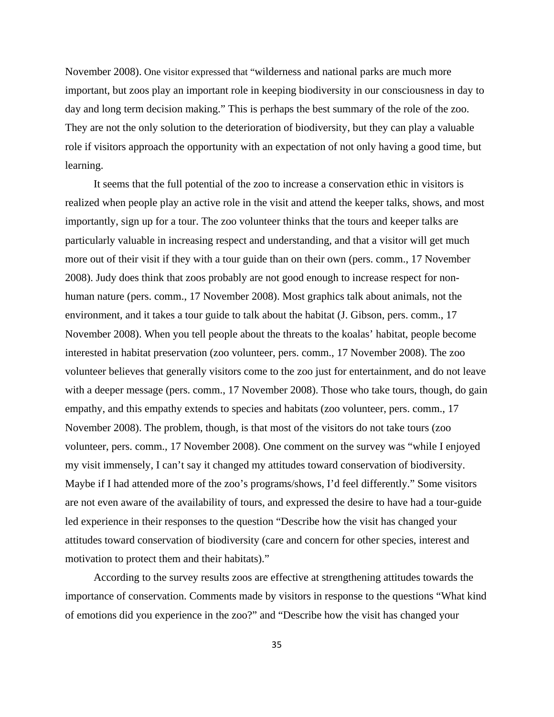November 2008). One visitor expressed that "wilderness and national parks are much more important, but zoos play an important role in keeping biodiversity in our consciousness in day to day and long term decision making." This is perhaps the best summary of the role of the zoo. They are not the only solution to the deterioration of biodiversity, but they can play a valuable role if visitors approach the opportunity with an expectation of not only having a good time, but learning.

 It seems that the full potential of the zoo to increase a conservation ethic in visitors is realized when people play an active role in the visit and attend the keeper talks, shows, and most importantly, sign up for a tour. The zoo volunteer thinks that the tours and keeper talks are particularly valuable in increasing respect and understanding, and that a visitor will get much more out of their visit if they with a tour guide than on their own (pers. comm., 17 November 2008). Judy does think that zoos probably are not good enough to increase respect for nonhuman nature (pers. comm., 17 November 2008). Most graphics talk about animals, not the environment, and it takes a tour guide to talk about the habitat (J. Gibson, pers. comm., 17 November 2008). When you tell people about the threats to the koalas' habitat, people become interested in habitat preservation (zoo volunteer, pers. comm., 17 November 2008). The zoo volunteer believes that generally visitors come to the zoo just for entertainment, and do not leave with a deeper message (pers. comm., 17 November 2008). Those who take tours, though, do gain empathy, and this empathy extends to species and habitats (zoo volunteer, pers. comm., 17 November 2008). The problem, though, is that most of the visitors do not take tours (zoo volunteer, pers. comm., 17 November 2008). One comment on the survey was "while I enjoyed my visit immensely, I can't say it changed my attitudes toward conservation of biodiversity. Maybe if I had attended more of the zoo's programs/shows, I'd feel differently." Some visitors are not even aware of the availability of tours, and expressed the desire to have had a tour-guide led experience in their responses to the question "Describe how the visit has changed your attitudes toward conservation of biodiversity (care and concern for other species, interest and motivation to protect them and their habitats)."

 According to the survey results zoos are effective at strengthening attitudes towards the importance of conservation. Comments made by visitors in response to the questions "What kind of emotions did you experience in the zoo?" and "Describe how the visit has changed your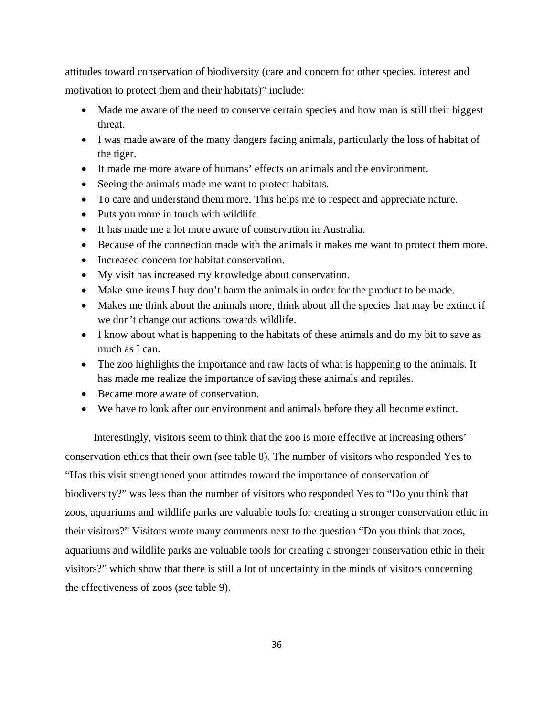attitudes toward conservation of biodiversity (care and concern for other species, interest and motivation to protect them and their habitats)" include:

- Made me aware of the need to conserve certain species and how man is still their biggest threat.
- I was made aware of the many dangers facing animals, particularly the loss of habitat of the tiger.
- It made me more aware of humans' effects on animals and the environment.
- Seeing the animals made me want to protect habitats.
- To care and understand them more. This helps me to respect and appreciate nature.
- Puts you more in touch with wildlife.
- It has made me a lot more aware of conservation in Australia.
- Because of the connection made with the animals it makes me want to protect them more.
- Increased concern for habitat conservation.
- My visit has increased my knowledge about conservation.
- Make sure items I buy don't harm the animals in order for the product to be made.
- Makes me think about the animals more, think about all the species that may be extinct if we don't change our actions towards wildlife.
- I know about what is happening to the habitats of these animals and do my bit to save as much as I can.
- The zoo highlights the importance and raw facts of what is happening to the animals. It has made me realize the importance of saving these animals and reptiles.
- Became more aware of conservation.
- We have to look after our environment and animals before they all become extinct.

 Interestingly, visitors seem to think that the zoo is more effective at increasing others' conservation ethics that their own (see table 8). The number of visitors who responded Yes to "Has this visit strengthened your attitudes toward the importance of conservation of biodiversity?" was less than the number of visitors who responded Yes to "Do you think that zoos, aquariums and wildlife parks are valuable tools for creating a stronger conservation ethic in their visitors?" Visitors wrote many comments next to the question "Do you think that zoos, aquariums and wildlife parks are valuable tools for creating a stronger conservation ethic in their visitors?" which show that there is still a lot of uncertainty in the minds of visitors concerning the effectiveness of zoos (see table 9).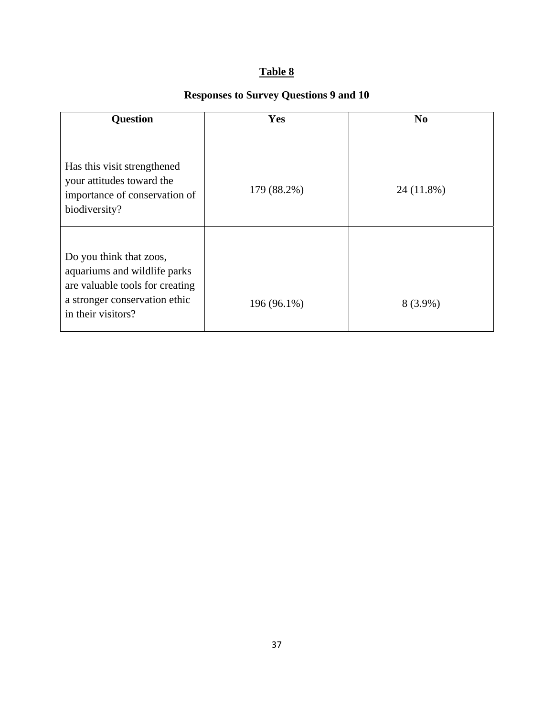# **Table 8**

# **Responses to Survey Questions 9 and 10**

| <b>Question</b>                                                                                                                                   | Yes         | N <sub>0</sub> |
|---------------------------------------------------------------------------------------------------------------------------------------------------|-------------|----------------|
| Has this visit strengthened<br>your attitudes toward the<br>importance of conservation of<br>biodiversity?                                        | 179 (88.2%) | 24 (11.8%)     |
| Do you think that zoos,<br>aquariums and wildlife parks<br>are valuable tools for creating<br>a stronger conservation ethic<br>in their visitors? | 196 (96.1%) | $8(3.9\%)$     |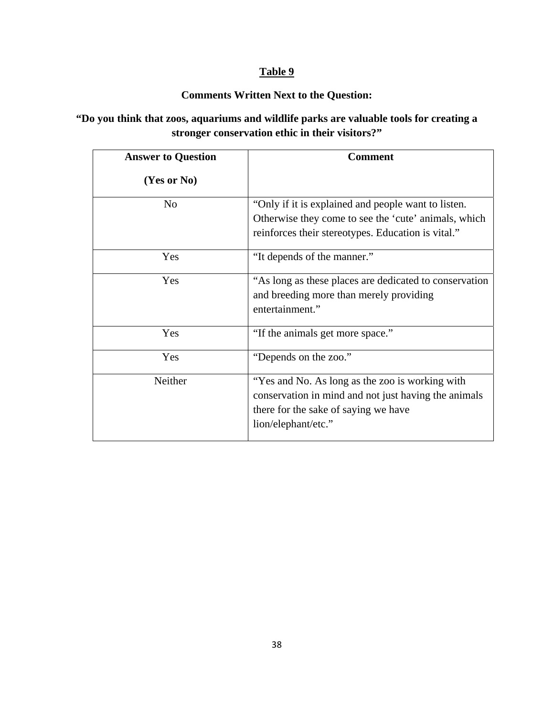## **Table 9**

## **Comments Written Next to the Question:**

## **"Do you think that zoos, aquariums and wildlife parks are valuable tools for creating a stronger conservation ethic in their visitors?"**

| <b>Answer to Question</b> | <b>Comment</b>                                                                                                                                                         |
|---------------------------|------------------------------------------------------------------------------------------------------------------------------------------------------------------------|
| (Yes or No)               |                                                                                                                                                                        |
| N <sub>o</sub>            | "Only if it is explained and people want to listen."<br>Otherwise they come to see the 'cute' animals, which<br>reinforces their stereotypes. Education is vital."     |
| Yes                       | "It depends of the manner."                                                                                                                                            |
| Yes                       | "As long as these places are dedicated to conservation<br>and breeding more than merely providing<br>entertainment."                                                   |
| Yes                       | "If the animals get more space."                                                                                                                                       |
| Yes                       | "Depends on the zoo."                                                                                                                                                  |
| Neither                   | "Yes and No. As long as the zoo is working with<br>conservation in mind and not just having the animals<br>there for the sake of saying we have<br>lion/elephant/etc." |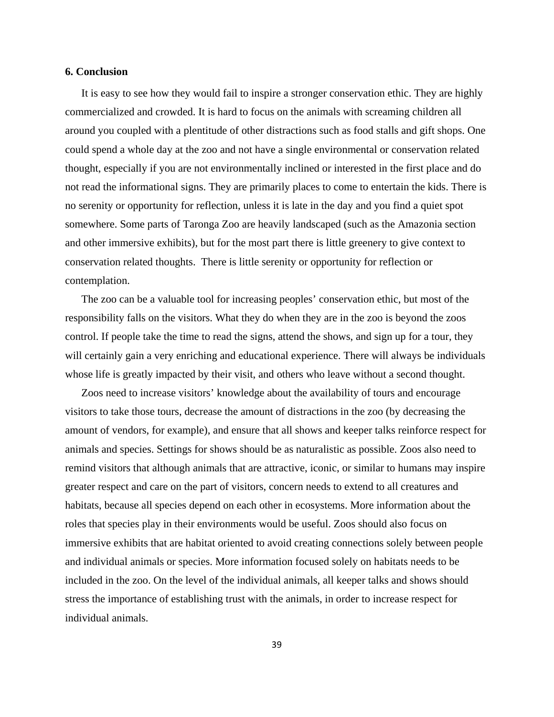## **6. Conclusion**

It is easy to see how they would fail to inspire a stronger conservation ethic. They are highly commercialized and crowded. It is hard to focus on the animals with screaming children all around you coupled with a plentitude of other distractions such as food stalls and gift shops. One could spend a whole day at the zoo and not have a single environmental or conservation related thought, especially if you are not environmentally inclined or interested in the first place and do not read the informational signs. They are primarily places to come to entertain the kids. There is no serenity or opportunity for reflection, unless it is late in the day and you find a quiet spot somewhere. Some parts of Taronga Zoo are heavily landscaped (such as the Amazonia section and other immersive exhibits), but for the most part there is little greenery to give context to conservation related thoughts. There is little serenity or opportunity for reflection or contemplation.

The zoo can be a valuable tool for increasing peoples' conservation ethic, but most of the responsibility falls on the visitors. What they do when they are in the zoo is beyond the zoos control. If people take the time to read the signs, attend the shows, and sign up for a tour, they will certainly gain a very enriching and educational experience. There will always be individuals whose life is greatly impacted by their visit, and others who leave without a second thought.

Zoos need to increase visitors' knowledge about the availability of tours and encourage visitors to take those tours, decrease the amount of distractions in the zoo (by decreasing the amount of vendors, for example), and ensure that all shows and keeper talks reinforce respect for animals and species. Settings for shows should be as naturalistic as possible. Zoos also need to remind visitors that although animals that are attractive, iconic, or similar to humans may inspire greater respect and care on the part of visitors, concern needs to extend to all creatures and habitats, because all species depend on each other in ecosystems. More information about the roles that species play in their environments would be useful. Zoos should also focus on immersive exhibits that are habitat oriented to avoid creating connections solely between people and individual animals or species. More information focused solely on habitats needs to be included in the zoo. On the level of the individual animals, all keeper talks and shows should stress the importance of establishing trust with the animals, in order to increase respect for individual animals.

39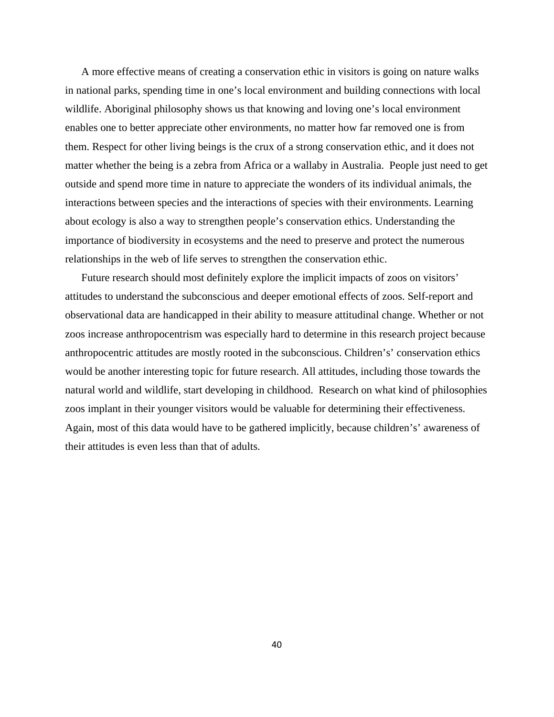A more effective means of creating a conservation ethic in visitors is going on nature walks in national parks, spending time in one's local environment and building connections with local wildlife. Aboriginal philosophy shows us that knowing and loving one's local environment enables one to better appreciate other environments, no matter how far removed one is from them. Respect for other living beings is the crux of a strong conservation ethic, and it does not matter whether the being is a zebra from Africa or a wallaby in Australia. People just need to get outside and spend more time in nature to appreciate the wonders of its individual animals, the interactions between species and the interactions of species with their environments. Learning about ecology is also a way to strengthen people's conservation ethics. Understanding the importance of biodiversity in ecosystems and the need to preserve and protect the numerous relationships in the web of life serves to strengthen the conservation ethic.

Future research should most definitely explore the implicit impacts of zoos on visitors' attitudes to understand the subconscious and deeper emotional effects of zoos. Self-report and observational data are handicapped in their ability to measure attitudinal change. Whether or not zoos increase anthropocentrism was especially hard to determine in this research project because anthropocentric attitudes are mostly rooted in the subconscious. Children's' conservation ethics would be another interesting topic for future research. All attitudes, including those towards the natural world and wildlife, start developing in childhood. Research on what kind of philosophies zoos implant in their younger visitors would be valuable for determining their effectiveness. Again, most of this data would have to be gathered implicitly, because children's' awareness of their attitudes is even less than that of adults.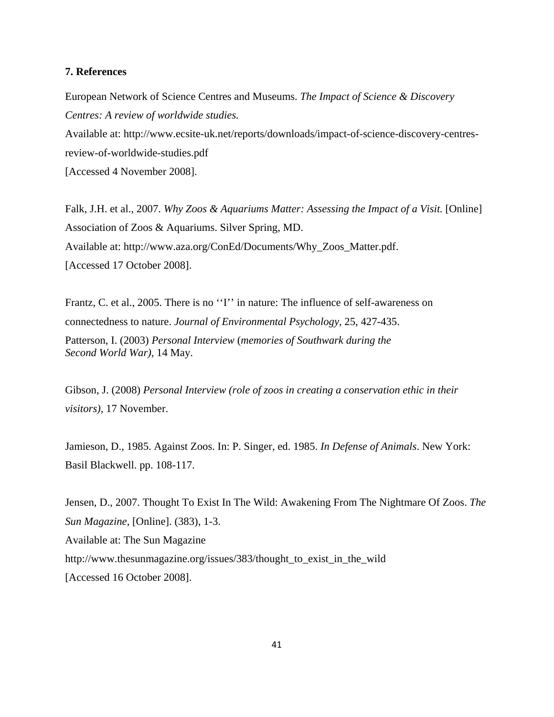## **7. References**

European Network of Science Centres and Museums. *The Impact of Science & Discovery Centres: A review of worldwide studies.*  Available at: http://www.ecsite-uk.net/reports/downloads/impact-of-science-discovery-centresreview-of-worldwide-studies.pdf [Accessed 4 November 2008].

Falk, J.H. et al., 2007. *Why Zoos & Aquariums Matter: Assessing the Impact of a Visit.* [Online] Association of Zoos & Aquariums. Silver Spring, MD. Available at: http://www.aza.org/ConEd/Documents/Why\_Zoos\_Matter.pdf. [Accessed 17 October 2008].

Frantz, C. et al., 2005. There is no "I" in nature: The influence of self-awareness on connectedness to nature. *Journal of Environmental Psychology,* 25, 427-435. Patterson, I. (2003) *Personal Interview* (*memories of Southwark during the Second World War),* 14 May.

Gibson, J. (2008) *Personal Interview (role of zoos in creating a conservation ethic in their visitors),* 17 November.

Jamieson, D., 1985. Against Zoos. In: P. Singer, ed. 1985. *In Defense of Animals*. New York: Basil Blackwell. pp. 108-117.

Jensen, D., 2007. Thought To Exist In The Wild: Awakening From The Nightmare Of Zoos. *The Sun Magazine*, [Online]. (383), 1-3. Available at: The Sun Magazine http://www.thesunmagazine.org/issues/383/thought to exist in the wild [Accessed 16 October 2008].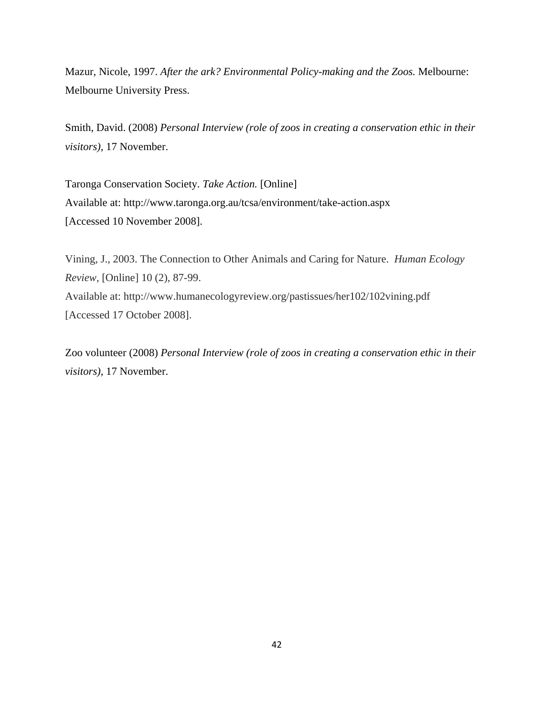Mazur, Nicole, 1997. *After the ark? Environmental Policy-making and the Zoos.* Melbourne: Melbourne University Press.

Smith, David. (2008) *Personal Interview (role of zoos in creating a conservation ethic in their visitors),* 17 November.

Taronga Conservation Society. *Take Action.* [Online] Available at: http://www.taronga.org.au/tcsa/environment/take-action.aspx [Accessed 10 November 2008].

Vining, J., 2003. The Connection to Other Animals and Caring for Nature. *Human Ecology Review,* [Online] 10 (2), 87-99. Available at: http://www.humanecologyreview.org/pastissues/her102/102vining.pdf [Accessed 17 October 2008].

Zoo volunteer (2008) *Personal Interview (role of zoos in creating a conservation ethic in their visitors),* 17 November.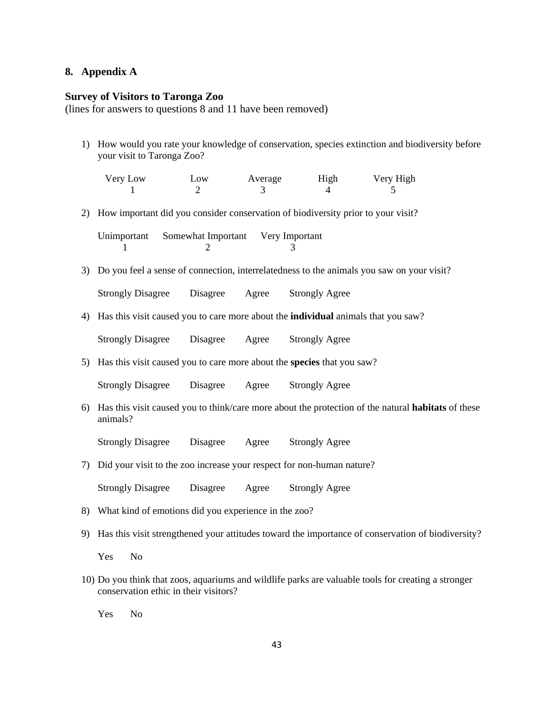#### **8. Appendix A**

### **Survey of Visitors to Taronga Zoo**

(lines for answers to questions 8 and 11 have been removed)

1) How would you rate your knowledge of conservation, species extinction and biodiversity before your visit to Taronga Zoo?

| Very Low | LOW | Average | High | Very High |
|----------|-----|---------|------|-----------|
|          |     |         |      |           |

2) How important did you consider conservation of biodiversity prior to your visit?

Unimportant Somewhat Important Very Important 1 2 3

3) Do you feel a sense of connection, interrelatedness to the animals you saw on your visit?

Strongly Disagree Disagree Agree Strongly Agree

4) Has this visit caused you to care more about the **individual** animals that you saw?

| <b>Strongly Disagree</b> | Disagree | Agree | <b>Strongly Agree</b> |
|--------------------------|----------|-------|-----------------------|
|                          |          |       |                       |

5) Has this visit caused you to care more about the **species** that you saw?

Strongly Disagree Disagree Agree Strongly Agree

6) Has this visit caused you to think/care more about the protection of the natural **habitats** of these animals?

Strongly Disagree Disagree Agree Strongly Agree

7) Did your visit to the zoo increase your respect for non-human nature?

Strongly Disagree Disagree Agree Strongly Agree

- 8) What kind of emotions did you experience in the zoo?
- 9) Has this visit strengthened your attitudes toward the importance of conservation of biodiversity?

Yes No

10) Do you think that zoos, aquariums and wildlife parks are valuable tools for creating a stronger conservation ethic in their visitors?

Yes No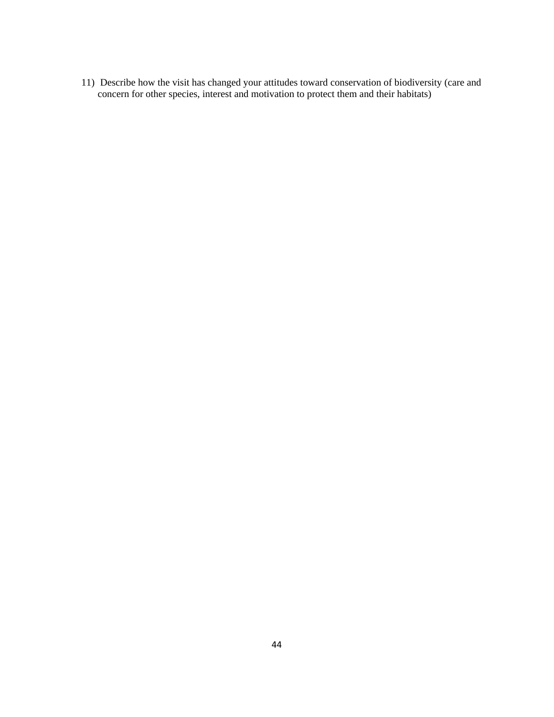11) Describe how the visit has changed your attitudes toward conservation of biodiversity (care and concern for other species, interest and motivation to protect them and their habitats)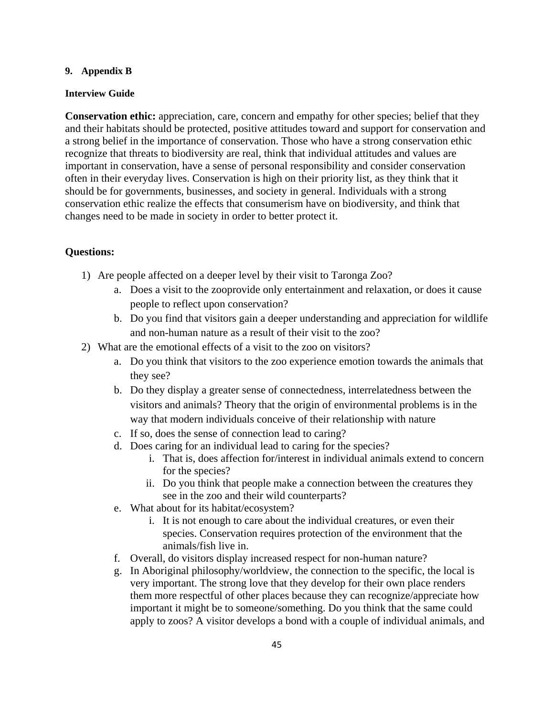#### **9. Appendix B**

#### **Interview Guide**

**Conservation ethic:** appreciation, care, concern and empathy for other species; belief that they and their habitats should be protected, positive attitudes toward and support for conservation and a strong belief in the importance of conservation. Those who have a strong conservation ethic recognize that threats to biodiversity are real, think that individual attitudes and values are important in conservation, have a sense of personal responsibility and consider conservation often in their everyday lives. Conservation is high on their priority list, as they think that it should be for governments, businesses, and society in general. Individuals with a strong conservation ethic realize the effects that consumerism have on biodiversity, and think that changes need to be made in society in order to better protect it.

## **Questions:**

- 1) Are people affected on a deeper level by their visit to Taronga Zoo?
	- a. Does a visit to the zooprovide only entertainment and relaxation, or does it cause people to reflect upon conservation?
	- b. Do you find that visitors gain a deeper understanding and appreciation for wildlife and non-human nature as a result of their visit to the zoo?
- 2) What are the emotional effects of a visit to the zoo on visitors?
	- a. Do you think that visitors to the zoo experience emotion towards the animals that they see?
	- b. Do they display a greater sense of connectedness, interrelatedness between the visitors and animals? Theory that the origin of environmental problems is in the way that modern individuals conceive of their relationship with nature
	- c. If so, does the sense of connection lead to caring?
	- d. Does caring for an individual lead to caring for the species?
		- i. That is, does affection for/interest in individual animals extend to concern for the species?
		- ii. Do you think that people make a connection between the creatures they see in the zoo and their wild counterparts?
	- e. What about for its habitat/ecosystem?
		- i. It is not enough to care about the individual creatures, or even their species. Conservation requires protection of the environment that the animals/fish live in.
	- f. Overall, do visitors display increased respect for non-human nature?
	- g. In Aboriginal philosophy/worldview, the connection to the specific, the local is very important. The strong love that they develop for their own place renders them more respectful of other places because they can recognize/appreciate how important it might be to someone/something. Do you think that the same could apply to zoos? A visitor develops a bond with a couple of individual animals, and